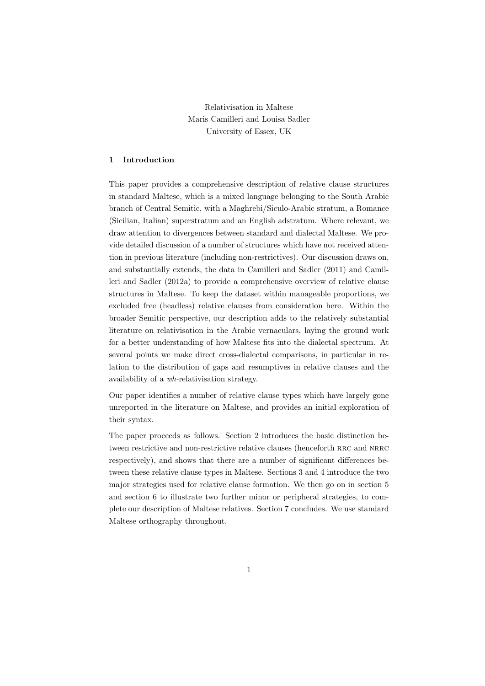Relativisation in Maltese Maris Camilleri and Louisa Sadler University of Essex, UK

# **1 Introduction**

This paper provides a comprehensive description of relative clause structures in standard Maltese, which is a mixed language belonging to the South Arabic branch of Central Semitic, with a Maghrebi/Siculo-Arabic stratum, a Romance (Sicilian, Italian) superstratum and an English adstratum. Where relevant, we draw attention to divergences between standard and dialectal Maltese. We provide detailed discussion of a number of structures which have not received attention in previous literature (including non-restrictives). Our discussion draws on, and substantially extends, the data in Camilleri and Sadler (2011) and Camilleri and Sadler (2012a) to provide a comprehensive overview of relative clause structures in Maltese. To keep the dataset within manageable proportions, we excluded free (headless) relative clauses from consideration here. Within the broader Semitic perspective, our description adds to the relatively substantial literature on relativisation in the Arabic vernaculars, laying the ground work for a better understanding of how Maltese fits into the dialectal spectrum. At several points we make direct cross-dialectal comparisons, in particular in relation to the distribution of gaps and resumptives in relative clauses and the availability of a *wh-*relativisation strategy.

Our paper identifies a number of relative clause types which have largely gone unreported in the literature on Maltese, and provides an initial exploration of their syntax.

The paper proceeds as follows. Section 2 introduces the basic distinction between restrictive and non-restrictive relative clauses (henceforth RRC and NRRC respectively), and shows that there are a number of significant differences between these relative clause types in Maltese. Sections 3 and 4 introduce the two major strategies used for relative clause formation. We then go on in section 5 and section 6 to illustrate two further minor or peripheral strategies, to complete our description of Maltese relatives. Section 7 concludes. We use standard Maltese orthography throughout.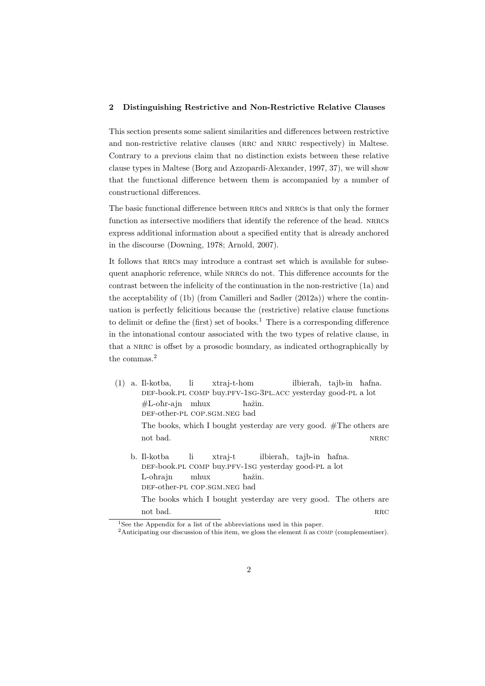### **2 Distinguishing Restrictive and Non-Restrictive Relative Clauses**

This section presents some salient similarities and differences between restrictive and non-restrictive relative clauses (RRC and NRRC respectively) in Maltese. Contrary to a previous claim that no distinction exists between these relative clause types in Maltese (Borg and Azzopardi-Alexander, 1997, 37), we will show that the functional difference between them is accompanied by a number of constructional differences.

The basic functional difference between RRCs and NRRCs is that only the former function as intersective modifiers that identify the reference of the head. NRRCs express additional information about a specified entity that is already anchored in the discourse (Downing, 1978; Arnold, 2007).

It follows that RRCs may introduce a contrast set which is available for subsequent anaphoric reference, while nrrcs do not. This difference accounts for the contrast between the infelicity of the continuation in the non-restrictive (1a) and the acceptability of (1b) (from Camilleri and Sadler (2012a)) where the continuation is perfectly felicitious because the (restrictive) relative clause functions to delimit or define the (first) set of books.<sup>1</sup> There is a corresponding difference in the intonational contour associated with the two types of relative clause, in that a NRRC is offset by a prosodic boundary, as indicated orthographically by the commas.<sup>2</sup>

- (1) a. Il-kotba, DEF-book.PL COMP buy.PFV-1SG-3PL.ACC yesterday good-PL a lot li xtraj-t-hom ilbierah, tajb-in hafna.  $#L$ -oħr-ajn mhux DEF-other-PL COP.SGM.NEG bad hażin. The books, which I bought yesterday are very good. #The others are not bad. NRRC  $\blacksquare$ 
	- b. Il-kotba DEF-book.PL COMP buy.PFV-1SG yesterday good-PL a lot li xtraj-t ilbierah, tajb-in hafna. L-ohrajn def-other-pl cop.sgm.neg bad mhux hażin. The books which I bought yesterday are very good. The others are

not bad.  $\mathbb{R}$ RC

 $\frac{1}{1}$ See the Appendix for a list of the abbreviations used in this paper.

<sup>&</sup>lt;sup>2</sup>Anticipating our discussion of this item, we gloss the element *li* as COMP (complementiser).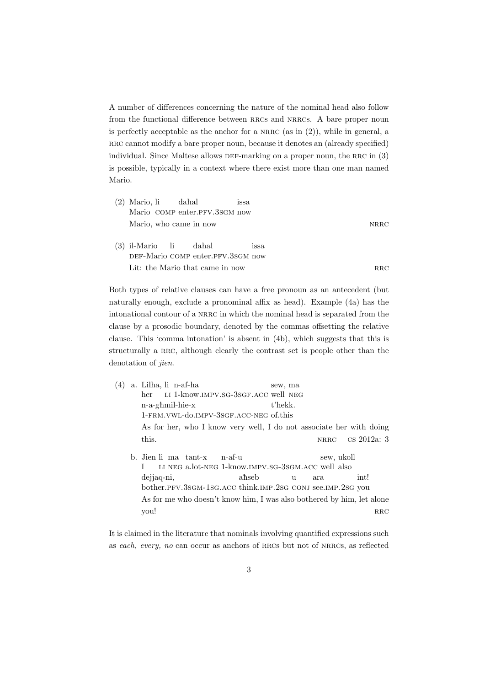A number of differences concerning the nature of the nominal head also follow from the functional difference between RRCs and NRRCs. A bare proper noun is perfectly acceptable as the anchor for a NRRC (as in  $(2)$ ), while in general, a RRC cannot modify a bare proper noun, because it denotes an (already specified) individual. Since Maltese allows DEF-marking on a proper noun, the RRC in (3) is possible, typically in a context where there exist more than one man named Mario.

| $(2)$ Mario, li dahal                                      |  | <i><b>ISSA</b></i> |             |
|------------------------------------------------------------|--|--------------------|-------------|
| Mario COMP enter.PFV.3SGM now                              |  |                    |             |
| Mario, who came in now                                     |  |                    | <b>NRRC</b> |
| (3) il-Mario li dahal<br>DEF-Mario COMP enter.PFV.3SGM now |  | <i>ssa</i>         |             |
| Lit: the Mario that came in now                            |  |                    | RRC         |

Both types of relative clause**s** can have a free pronoun as an antecedent (but naturally enough, exclude a pronominal affix as head). Example (4a) has the intonational contour of a NRRC in which the nominal head is separated from the clause by a prosodic boundary, denoted by the commas offsetting the relative clause. This 'comma intonation' is absent in (4b), which suggests that this is structurally a RRC, although clearly the contrast set is people other than the denotation of *jien*.

| (4) | a. Lilha, li n-af-ha                                                  |       | sew, ma |             |             |
|-----|-----------------------------------------------------------------------|-------|---------|-------------|-------------|
|     | LI 1-know.IMPV.SG-3SGF.ACC well NEG<br>her                            |       |         |             |             |
|     | n-a-ghmil-hie-x                                                       |       | t'hekk. |             |             |
|     | 1-FRM.VWL-do.IMPV-3SGF.ACC-NEG of.this                                |       |         |             |             |
|     | As for her, who I know very well, I do not associate her with doing   |       |         |             |             |
|     | this.                                                                 |       |         | <b>NRRC</b> | cs 2012a: 3 |
|     | b. Jien li ma tant-x<br>$n-af-11$                                     |       |         | sew, ukoll  |             |
|     | LI NEG a.lot-NEG 1-know.IMPV.SG-3SGM.ACC well also                    |       |         |             |             |
|     | dejjaq-ni,                                                            | ahseb | 11      | ara         | int!        |
|     | bother.PFV.3sGM-1sG.ACC think.IMP.2sG CONJ see.IMP.2sG you            |       |         |             |             |
|     | As for me who doesn't know him, I was also bothered by him, let alone |       |         |             |             |

It is claimed in the literature that nominals involving quantified expressions such as *each, every, no* can occur as anchors of rrcs but not of nrrcs, as reflected

you! RRC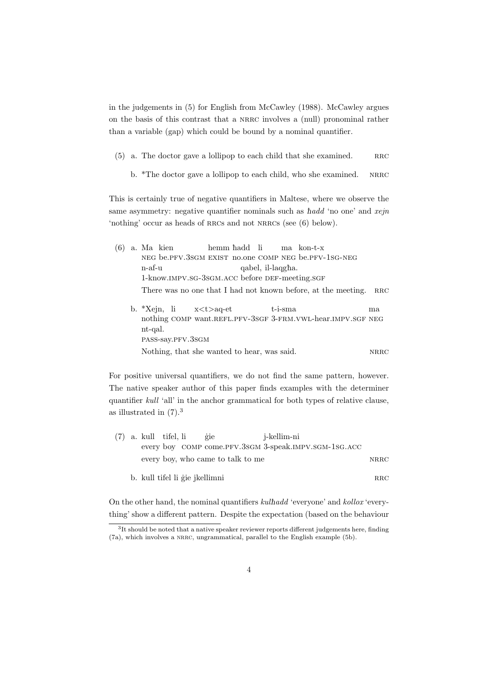in the judgements in (5) for English from McCawley (1988). McCawley argues on the basis of this contrast that a nrrc involves a (null) pronominal rather than a variable (gap) which could be bound by a nominal quantifier.

- $(5)$  a. The doctor gave a lollipop to each child that she examined. RRC
	- b. \*The doctor gave a lollipop to each child, who she examined. NRRC

This is certainly true of negative quantifiers in Maltese, where we observe the same asymmetry: negative quantifier nominals such as  $\hbar a d d$  'no one' and *xejn* 'nothing' occur as heads of RRCs and not NRRCs (see (6) below).

|  |        | (6) a. Ma kien hemm hadd li ma kon-t-x               |  |                   |                                                                   |    |  |
|--|--------|------------------------------------------------------|--|-------------------|-------------------------------------------------------------------|----|--|
|  |        | NEG be.PFV.3SGM EXIST no.one COMP NEG be.PFV-1SG-NEG |  |                   |                                                                   |    |  |
|  | n-af-u |                                                      |  | qabel, il-laqgha. |                                                                   |    |  |
|  |        | 1-know.IMPV.SG-3SGM.ACC before DEF-meeting.SGF       |  |                   |                                                                   |    |  |
|  |        |                                                      |  |                   | There was no one that I had not known before, at the meeting. RRC |    |  |
|  |        | b. $X\rightarrow X$ ejn, li $x < t > aq$ -et         |  | $t$ -i-sma        |                                                                   | ma |  |

nothing COMP want.REFL.PFV-3SGF 3-FRM.VWL-hear.IMPV.SGF NEG x*<*t*>*aq-et nt-qal. pass-say.pfv.3sgm Nothing, that she wanted to hear, was said. NRRC

For positive universal quantifiers, we do not find the same pattern, however. The native speaker author of this paper finds examples with the determiner quantifier *kull* 'all' in the anchor grammatical for both types of relative clause, as illustrated in (7).<sup>3</sup>

|  | $(7)$ a. kull tifel, li |                                | gie                               | j-kellim-ni                                           |      |
|--|-------------------------|--------------------------------|-----------------------------------|-------------------------------------------------------|------|
|  |                         |                                |                                   | every boy COMP come.PFV.3SGM 3-speak.IMPV.SGM-1SG.ACC |      |
|  |                         |                                | every boy, who came to talk to me |                                                       | NRRC |
|  |                         | b. kull tifel li gie jkellimni |                                   |                                                       | RRC  |

On the other hand, the nominal quantifiers *kul*è*add* 'everyone' and *kollox* 'everything' show a different pattern. Despite the expectation (based on the behaviour

<sup>&</sup>lt;sup>3</sup>It should be noted that a native speaker reviewer reports different judgements here, finding (7a), which involves a nrrc, ungrammatical, parallel to the English example (5b).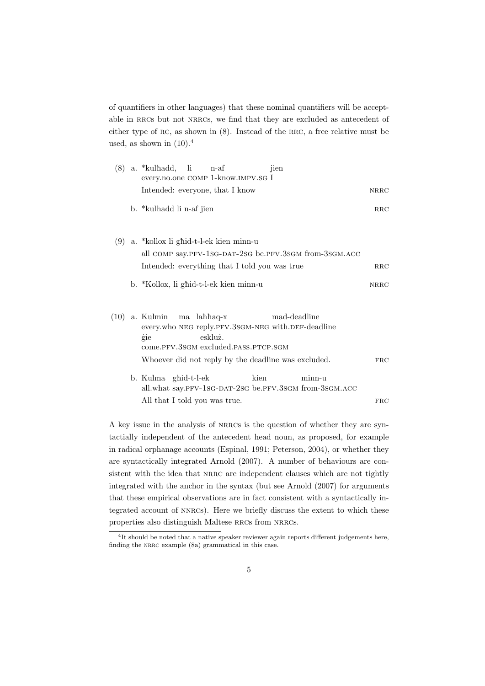of quantifiers in other languages) that these nominal quantifiers will be acceptable in RRCs but not NRRCs, we find that they are excluded as antecedent of either type of  $RC$ , as shown in  $(8)$ . Instead of the RRC, a free relative must be used, as shown in  $(10).<sup>4</sup>$ 

| (8)  | a. *kulhadd, li n-af<br>jien<br>every.no.one COMP 1-know.IMPV.SG I                                                                                                                                              |              |
|------|-----------------------------------------------------------------------------------------------------------------------------------------------------------------------------------------------------------------|--------------|
|      | Intended: everyone, that I know                                                                                                                                                                                 | <b>NRRC</b>  |
|      | b. *kulhadd li n-af jien                                                                                                                                                                                        | $_{\rm RRC}$ |
| (9)  | a. *kollox li ghid-t-l-ek kien minn-u<br>all COMP say.PFV-1sG-DAT-2sG be.PFV.3sGM from-3sGM.ACC                                                                                                                 |              |
|      | Intended: everything that I told you was true                                                                                                                                                                   | $_{\rm RRC}$ |
|      | b. *Kollox, li ghid-t-l-ek kien minn-u                                                                                                                                                                          | <b>NRRC</b>  |
| (10) | mad-deadline<br>a. Kulmin<br>ma lahhaq-x<br>every.who NEG reply.PFV.3SGM-NEG with.DEF-deadline<br>eskluż.<br>gie<br>come.PFV.3SGM excluded.PASS.PTCP.SGM<br>Whoever did not reply by the deadline was excluded. | <b>FRC</b>   |
|      | b. Kulma ghid-t-l-ek<br>kien<br>minn-u<br>all.what say.PFV-1sG-DAT-2sG be.PFV.3sGM from-3sGM.ACC                                                                                                                |              |
|      | All that I told you was true.                                                                                                                                                                                   | <b>FRC</b>   |

A key issue in the analysis of nrrcs is the question of whether they are syntactially independent of the antecedent head noun, as proposed, for example in radical orphanage accounts (Espinal, 1991; Peterson, 2004), or whether they are syntactically integrated Arnold (2007). A number of behaviours are consistent with the idea that NRRC are independent clauses which are not tightly integrated with the anchor in the syntax (but see Arnold (2007) for arguments that these empirical observations are in fact consistent with a syntactically integrated account of nnrcs). Here we briefly discuss the extent to which these properties also distinguish Maltese RRCs from NRRCs.

<sup>&</sup>lt;sup>4</sup>It should be noted that a native speaker reviewer again reports different judgements here, finding the NRRC example (8a) grammatical in this case.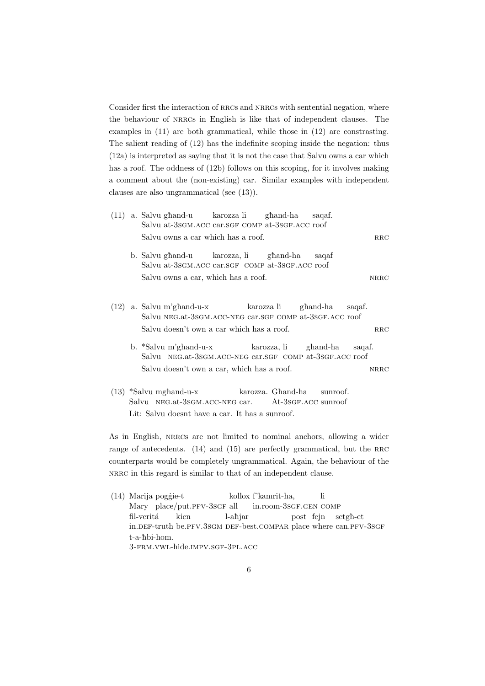Consider first the interaction of RRCs and NRRCs with sentential negation, where the behaviour of nrrcs in English is like that of independent clauses. The examples in (11) are both grammatical, while those in (12) are constrasting. The salient reading of (12) has the indefinite scoping inside the negation: thus (12a) is interpreted as saying that it is not the case that Salvu owns a car which has a roof. The oddness of (12b) follows on this scoping, for it involves making a comment about the (non-existing) car. Similar examples with independent clauses are also ungrammatical (see (13)).

 $(11)$  a. Salvu ghand-u Salvu at-3sGM.ACC car.SGF COMP at-3SGF.ACC roof karozza li gèand-ha saqaf.  $S$ alvu owns a car which has a roof.  $RRC$ b. Salvu għand-u Salvu at-3sGM.ACC car.SGF COMP at-3sGF.ACC roof karozza, li gèand-ha saqaf Salvu owns a car, which has a roof. NRRC (12) a. Salvu m'ghand-u-x Salvu NEG.at-3sGM.ACC-NEG car.SGF COMP at-3sGF.ACC roof karozza li gèand-ha saqaf.  $Salvu$  doesn't own a car which has a roof. RRC b. \*Salvu m'għand-u-x Salvu NEG.at-3sGM.ACC-NEG car.SGF COMP at-3sGF.ACC roof karozza, li gèand-ha saqaf. Salvu doesn't own a car, which has a roof. NRRC  $(13)$  \*Salvu mghand-u-x Salvu NEG.at-3sGM.ACC-NEG car. karozza. Għand-ha At-3sGF.ACC sunroof sunroof.

As in English, NRRCs are not limited to nominal anchors, allowing a wider range of antecedents. (14) and (15) are perfectly grammatical, but the RRC counterparts would be completely ungrammatical. Again, the behaviour of the nrrc in this regard is similar to that of an independent clause.

Lit: Salvu doesnt have a car. It has a sunroof.

(14) Marija pogģie-t Mary place/put.PFV-3sGF all kollox f'kamrit-ha, in.room-3sgF.gen COMP li fil-veritá in.DEF-truth be.PFV.3sGM DEF-best.COMPAR place where can.PFV-3sGF kien l-ahjar post fejn setgè-et t-a-hbi-hom. 3-frm.vwl-hide.impv.sgf-3pl.acc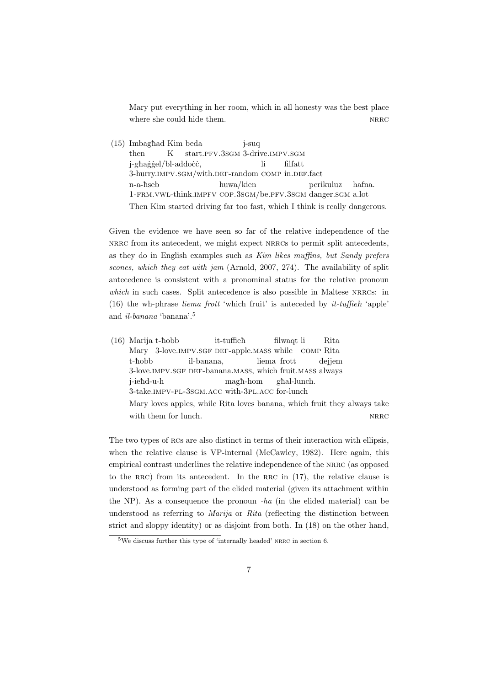Mary put everything in her room, which in all honesty was the best place where she could hide them.  $NRRC$ 

(15) Imbaghad Kim beda then K start.PFV.3sGM 3-drive.IMPV.SGM j-suq j-għaġġel/bl-addoċċ, 3-hurry.IMPV.SGM/with.DEF-random COMP in.DEF.fact li filfatt n-a-èseb 1-frm.vwl-think.impfv cop.3sgm/be.pfv.3sgm danger.sgm a.lot huwa/kien perikuluz hafna. Then Kim started driving far too fast, which I think is really dangerous.

Given the evidence we have seen so far of the relative independence of the nrrc from its antecedent, we might expect nrrcs to permit split antecedents, as they do in English examples such as *Kim likes muffins, but Sandy prefers scones, which they eat with jam* (Arnold, 2007, 274). The availability of split antecedence is consistent with a pronominal status for the relative pronoun *which* in such cases. Split antecedence is also possible in Maltese NRRCs: in  $(16)$  the wh-phrase *liema frott* 'which fruit' is anteceded by *it-tuffieh* 'apple' and *il-banana* 'banana'.<sup>5</sup>

(16) Marija t-hobb Mary 3-love. IMPV. SGF DEF-apple. MASS while it-tuffieh filwaqt li comp Rita Rita t-hobb 3-love. IMPV. SGF DEF-banana. MASS, which fruit. MASS always il-banana, liema frott dejjem j-ieèd-u-h 3-take.impv-pl-3sgm.acc with-3pl.acc for-lunch magè-hom gèal-lunch. Mary loves apples, while Rita loves banana, which fruit they always take with them for lunch.  $NRRC$ 

The two types of RCs are also distinct in terms of their interaction with ellipsis, when the relative clause is VP-internal (McCawley, 1982). Here again, this empirical contrast underlines the relative independence of the NRRC (as opposed to the RRC) from its antecedent. In the RRC in  $(17)$ , the relative clause is understood as forming part of the elided material (given its attachment within the NP). As a consequence the pronoun *-ha* (in the elided material) can be understood as referring to *Marija* or *Rita* (reflecting the distinction between strict and sloppy identity) or as disjoint from both. In (18) on the other hand,

 $5$ We discuss further this type of 'internally headed' NRRC in section 6.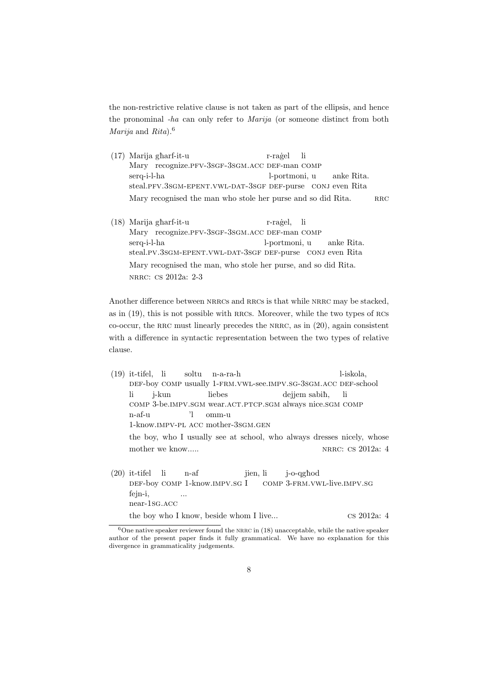the non-restrictive relative clause is not taken as part of the ellipsis, and hence the pronominal *-ha* can only refer to *Marija* (or someone distinct from both *Marija* and *Rita*).<sup>6</sup>

- (17) Marija gèarf-it-u Mary recognize.PFV-3sGF-3sGM.ACC DEF-man COMP r-raġel li serq-i-l-ha steal.PFV.3SGM-EPENT.VWL-DAT-3SGF DEF-purse CONJ even Rita l-portmoni, u anke Rita. Mary recognised the man who stole her purse and so did Rita. RRC
- (18) Marija gèarf-it-u Mary recognize.PFV-3SGF-3SGM.ACC DEF-man COMP r-raġel, li serq-i-l-ha steal.pv.3sGM-EPENT.VWL-DAT-3SGF DEF-purse CONJ even Rita l-portmoni, u anke Rita. Mary recognised the man, who stole her purse, and so did Rita. nrrc: cs 2012a: 2-3

Another difference between NRRCs and RRCs is that while NRRC may be stacked, as in (19), this is not possible with rrcs. Moreover, while the two types of rcs co-occur, the rrc must linearly precedes the nrrc, as in (20), again consistent with a difference in syntactic representation between the two types of relative clause.

- (19) it-tifel, li DEF-boy COMP usually 1-FRM.VWL-see.IMPV.SG-3SGM.ACC DEF-school soltu n-a-ra-h l-iskola, li comp 3-be.impv.sgm wear.act.ptcp.sgm always nice.sgm comp j-kun liebes dejjem sabih, li n-af-u 1-know.impv-pl acc mother-3sgm.gen 'l omm-u the boy, who I usually see at school, who always dresses nicely, whose mother we know.....  $$\tt NRRC:\ {\rm CS}\ 2012a:$   $4$
- (20) it-tifel DEF-boy COMP 1-know.IMPV.SG I li n-af jien, li comp 3-frm.vwl-live.impv.sg j-o-qghod fejn-i, near-1sg.acc ... the boy who I know, beside whom I live... cs 2012a: 4

 $6$ One native speaker reviewer found the NRRC in (18) unacceptable, while the native speaker author of the present paper finds it fully grammatical. We have no explanation for this divergence in grammaticality judgements.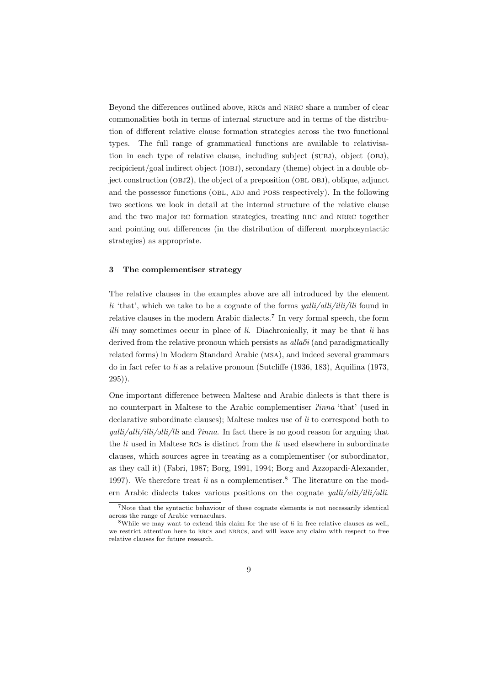Beyond the differences outlined above, RRCs and NRRC share a number of clear commonalities both in terms of internal structure and in terms of the distribution of different relative clause formation strategies across the two functional types. The full range of grammatical functions are available to relativisation in each type of relative clause, including subject (SUBJ), object (OBJ), recipicient/goal indirect object (IOBJ), secondary (theme) object in a double object construction  $(OBJ2)$ , the object of a preposition  $(OBL OBJ)$ , oblique, adjunct and the possessor functions (OBL, ADJ and POSS respectively). In the following two sections we look in detail at the internal structure of the relative clause and the two major RC formation strategies, treating RRC and NRRC together and pointing out differences (in the distribution of different morphosyntactic strategies) as appropriate.

## **3 The complementiser strategy**

The relative clauses in the examples above are all introduced by the element *li* 'that', which we take to be a cognate of the forms *yalli/alli/illi/lli* found in relative clauses in the modern Arabic dialects.<sup>7</sup> In very formal speech, the form *illi* may sometimes occur in place of *li*. Diachronically, it may be that *li* has derived from the relative pronoun which persists as  $\alpha l \alpha \delta i$  (and paradigmatically related forms) in Modern Standard Arabic (msa), and indeed several grammars do in fact refer to *li* as a relative pronoun (Sutcliffe (1936, 183), Aquilina (1973, 295)).

One important difference between Maltese and Arabic dialects is that there is no counterpart in Maltese to the Arabic complementiser P*inna* 'that' (used in declarative subordinate clauses); Maltese makes use of *li* to correspond both to *yalli/alli/illi/alli/lli* and *Pinna*. In fact there is no good reason for arguing that the *li* used in Maltese rcs is distinct from the *li* used elsewhere in subordinate clauses, which sources agree in treating as a complementiser (or subordinator, as they call it) (Fabri, 1987; Borg, 1991, 1994; Borg and Azzopardi-Alexander, 1997). We therefore treat  $li$  as a complementiser.<sup>8</sup> The literature on the modern Arabic dialects takes various positions on the cognate *yalli/alli/illi/illi/illi*.

<sup>7</sup>Note that the syntactic behaviour of these cognate elements is not necessarily identical across the range of Arabic vernaculars.

<sup>8</sup>While we may want to extend this claim for the use of *li* in free relative clauses as well, we restrict attention here to rrcs and nrrcs, and will leave any claim with respect to free relative clauses for future research.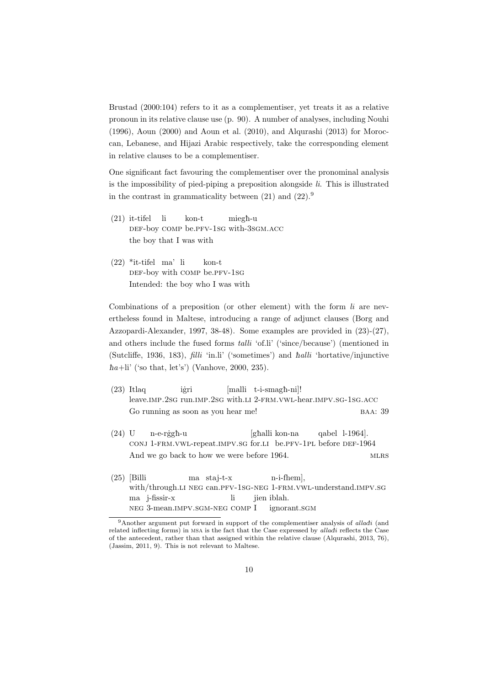Brustad (2000:104) refers to it as a complementiser, yet treats it as a relative pronoun in its relative clause use (p. 90). A number of analyses, including Nouhi (1996), Aoun (2000) and Aoun et al. (2010), and Alqurashi (2013) for Moroccan, Lebanese, and Hijazi Arabic respectively, take the corresponding element in relative clauses to be a complementiser.

One significant fact favouring the complementiser over the pronominal analysis is the impossibility of pied-piping a preposition alongside *li*. This is illustrated in the contrast in grammaticality between  $(21)$  and  $(22).<sup>9</sup>$ 

- (21) it-tifel def-boy comp be.pfv-1sg with-3sgm.acc li kon-t miegħ-u the boy that I was with
- (22) \*it-tifel ma' li DEF-boy with COMP be.PFV-1sG kon-t Intended: the boy who I was with

Combinations of a preposition (or other element) with the form *li* are nevertheless found in Maltese, introducing a range of adjunct clauses (Borg and Azzopardi-Alexander, 1997, 38-48). Some examples are provided in (23)-(27), and others include the fused forms *talli* 'of.li' ('since/because') (mentioned in (Sutcliffe, 1936, 183), *filli* 'in.li' ('sometimes') and è*alli* 'hortative/injunctive  $\hbar a+li'$  ('so that, let's') (Vanhove, 2000, 235).

- (23) Itlaq leave.imp.2sg run.imp.2sg with.li 2-frm.vwl-hear.impv.sg-1sg.acc iġri [malli t-i-smagh-ni]! Go running as soon as you hear me! BAA: 39
- (24) U CONJ 1-FRM. VWL-repeat. IMPV. SG for.LI be.PFV-1PL before DEF-1964 n-e-rġgħ-u [gèalli kon-na qabel l-1964]. And we go back to how we were before 1964. MLRS
- (25) [Billi with/through.li neg can.pfv-1sg-neg 1-frm.vwl-understand.impv.sg ma staj-t-x n-i-fhem], ma j-fissir-x neg 3-mean.impv.sgm-neg comp I li jien iblah. ignorant.sgm

<sup>&</sup>lt;sup>9</sup>Another argument put forward in support of the complementiser analysis of *alladi* (and related inflecting forms) in msa is the fact that the Case expressed by *alla*ą*i* reflects the Case of the antecedent, rather than that assigned within the relative clause (Alqurashi, 2013, 76), (Jassim, 2011, 9). This is not relevant to Maltese.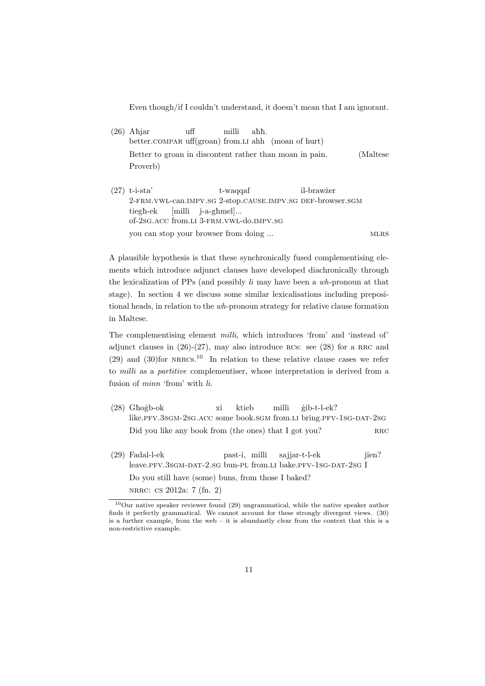Even though/if I couldn't understand, it doesn't mean that I am ignorant.

- $(26)$  Ahjar better.compar uff(groan) from.li ahh (moan of hurt) uff milli ahh. Better to groan in discontent rather than moan in pain. (Maltese Proverb)
- (27) t-i-sta' 2-frm.vwl-can.impv.sg 2-stop.cause.impv.sg def-browser.sgm t-waqqaf il-brawżer tiegħ-ek of-2sg.acc from.li 3-frm.vwl-do.impv.sg [milli j-a-għmel]... you can stop your browser from doing ... mlrs

A plausible hypothesis is that these synchronically fused complementising elements which introduce adjunct clauses have developed diachronically through the lexicalization of PPs (and possibly *li* may have been a *wh*-pronoun at that stage). In section 4 we discuss some similar lexicalisations including prepositional heads, in relation to the *wh*-pronoun strategy for relative clause formation in Maltese.

The complementising element *milli*, which introduces 'from' and 'instead of' adjunct clauses in  $(26)-(27)$ , may also introduce RCs: see  $(28)$  for a RRC and  $(29)$  and  $(30)$  for NRRCs.<sup>10</sup> In relation to these relative clause cases we refer to *milli* as a *partitive* complementiser, whose interpretation is derived from a fusion of *minn* 'from' with *li*.

- $(28)$  Ghogb-ok like.pfv.3sgm-2sg.acc some book.sgm from.li bring.pfv-1sg-dat-2sg xi ktieb milli ˙gib-t-l-ek? Did you like any book from (the ones) that  $I$  got you? RRC
- (29) Fadal-l-ek leave.PFV.3sGM-DAT-2.sG bun-PL from.LI bake.PFV-1sG-DAT-2sG I past-i, milli sajjar-t-l-ek iien? Do you still have (some) buns, from those I baked? nrrc: cs 2012a: 7 (fn. 2)

<sup>10</sup>Our native speaker reviewer found (29) ungrammatical, while the native speaker author finds it perfectly grammatical. We cannot account for these strongly divergent views. (30) is a further example, from the web – it is abundantly clear from the context that this is a non-restrictive example.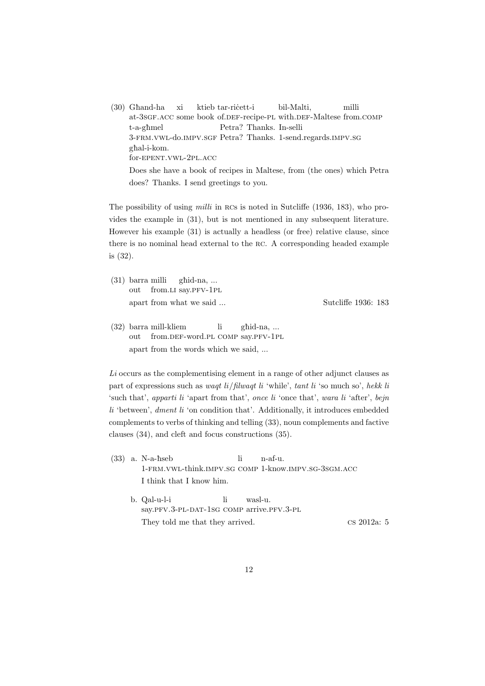$(30)$  Ghand-ha at-3sGF.ACC some book of.DEF-recipe-PL with.DEF-Maltese from.COMP xi ktieb tar-ricett-i bil-Malti, milli t-a-gèmel 3-frm.vwl-do.impv.sgf Petra? Thanks. 1-send.regards.impv.sg Petra? Thanks. In-selli ghal-i-kom. for-epent.vwl-2pl.acc Does she have a book of recipes in Maltese, from (the ones) which Petra does? Thanks. I send greetings to you.

The possibility of using *milli* in RCs is noted in Sutcliffe (1936, 183), who provides the example in (31), but is not mentioned in any subsequent literature. However his example (31) is actually a headless (or free) relative clause, since there is no nominal head external to the rc. A corresponding headed example is (32).

(31) barra milli out from.LI say.PFV-1PL ghid-na, ... apart from what we said ... Sutcliffe 1936: 183

(32) barra mill-kliem out from.DEF-word.PL COMP say.PFV-1PL li gèid-na, ... apart from the words which we said, ...

*Li* occurs as the complementising element in a range of other adjunct clauses as part of expressions such as *waqt li*/*filwaqt li* 'while', *tant li* 'so much so', *hekk li* 'such that', *apparti li* 'apart from that', *once li* 'once that', *wara li* 'after', *bejn li* 'between', *dment li* 'on condition that'. Additionally, it introduces embedded complements to verbs of thinking and telling (33), noun complements and factive clauses (34), and cleft and focus constructions (35).

- (33) a. N-a-hseb 1-frm.vwl-think.impv.sg comp 1-know.impv.sg-3sgm.acc li n-af-u. I think that I know him. li wasl-u.
	- b. Qal-u-l-i say.PFV.3-PL-DAT-1SG COMP arrive.PFV.3-PL They told me that they arrived. cs 2012a: 5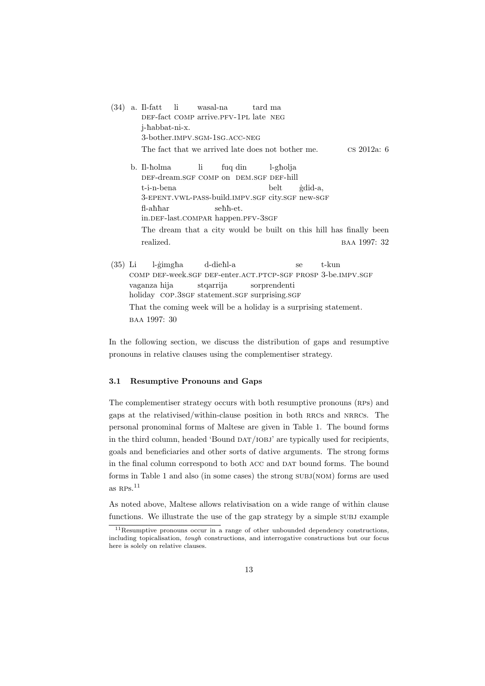(34) a. Il-fatt DEF-fact COMP arrive.PFV-1PL late NEG li wasal-na tard ma j-habbat-ni-x. 3-bother.impv.sgm-1sg.acc-neg The fact that we arrived late does not bother me. cs 2012a: 6 b. Il-holma DEF-dream.SGF COMP on DEM.SGF DEF-hill li fuq din l-gèolja t-i-n-bena 3-EPENT.VWL-PASS-build.IMPV.SGF city.SGF new-SGF belt ˙gdid-a, fl-ahhar in.def-last.compar happen.pfv-3sgf sehh-et. The dream that a city would be built on this hill has finally been

realized. BAA 1997: 32

(35) Li COMP DEF-week.SGF DEF-enter.ACT.PTCP-SGF PROSP 3-be.IMPV.SGF l-gimgha d-dieèl-a se t-kun vaganza hija holiday COP.3SGF statement.SGF surprising.SGF stqarrija sorprendenti That the coming week will be a holiday is a surprising statement. baa 1997: 30

In the following section, we discuss the distribution of gaps and resumptive pronouns in relative clauses using the complementiser strategy.

#### **3.1 Resumptive Pronouns and Gaps**

The complementiser strategy occurs with both resumptive pronouns (RPs) and gaps at the relativised/within-clause position in both rrcs and nrrcs. The personal pronominal forms of Maltese are given in Table 1. The bound forms in the third column, headed 'Bound DAT/IOBJ' are typically used for recipients, goals and beneficiaries and other sorts of dative arguments. The strong forms in the final column correspond to both ACC and DAT bound forms. The bound forms in Table 1 and also (in some cases) the strong subj(nom) forms are used as RPs $^{11}$ 

As noted above, Maltese allows relativisation on a wide range of within clause functions. We illustrate the use of the gap strategy by a simple subj example

<sup>11</sup>Resumptive pronouns occur in a range of other unbounded dependency constructions, including topicalisation, *tough* constructions, and interrogative constructions but our focus here is solely on relative clauses.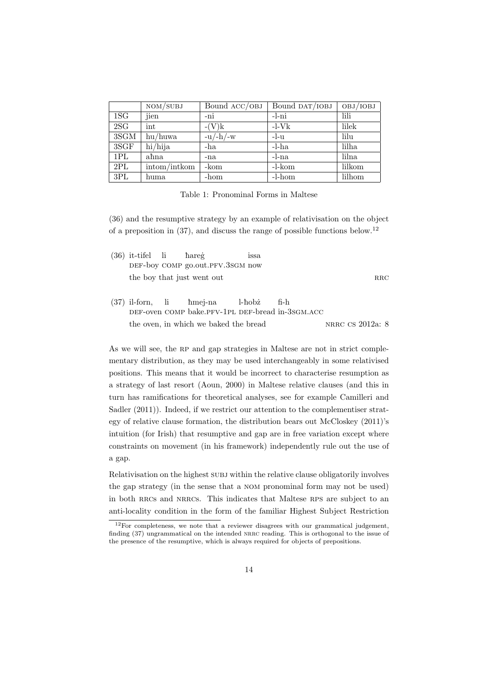|                 | NOM/SUBJ     | Bound ACC/OBJ | Bound DAT/IOBJ | OBJ/IOBJ |
|-----------------|--------------|---------------|----------------|----------|
| 1S <sub>G</sub> | jien         | -ni           | -l-ni          | lili     |
| 2SG             | int          | $-(V)k$       | $-l-Vk$        | lilek    |
| 3SGM            | hu/huwa      | $-u/-h/-w$    | $-l-11$        | lilu     |
| 3SGF            | hi/hija      | -ha           | $-l-ha$        | lilha    |
| 1PL             | ahna         | -na           | $-l$ -na       | lilna    |
| 2PL             | intom/intkom | -kom          | -l-kom         | lilkom   |
| 3PL             | huma         | -hom          | -l-hom         | lilhom   |

Table 1: Pronominal Forms in Maltese

(36) and the resumptive strategy by an example of relativisation on the object of a preposition in  $(37)$ , and discuss the range of possible functions below.<sup>12</sup>

| $(36)$ it-tifel li hareg |                                                  | $_{1SSa}$ |      |            |
|--------------------------|--------------------------------------------------|-----------|------|------------|
|                          | DEF-boy COMP go.out.PFV.3SGM now                 |           |      |            |
|                          | the boy that just went out                       |           |      | <b>RRC</b> |
|                          | (37) il-forn, li hmej-na l-hobz                  |           | fi-h |            |
|                          | DEF-oven COMP bake.PFV-1PL DEF-bread in-3SGM.ACC |           |      |            |

the oven, in which we baked the bread NRRC CS 2012a: 8

As we will see, the RP and gap strategies in Maltese are not in strict complementary distribution, as they may be used interchangeably in some relativised positions. This means that it would be incorrect to characterise resumption as a strategy of last resort (Aoun, 2000) in Maltese relative clauses (and this in turn has ramifications for theoretical analyses, see for example Camilleri and Sadler  $(2011)$ ). Indeed, if we restrict our attention to the complementiser strategy of relative clause formation, the distribution bears out McCloskey (2011)'s intuition (for Irish) that resumptive and gap are in free variation except where constraints on movement (in his framework) independently rule out the use of a gap.

Relativisation on the highest subj within the relative clause obligatorily involves the gap strategy (in the sense that a nom pronominal form may not be used) in both rrcs and nrrcs. This indicates that Maltese rps are subject to an anti-locality condition in the form of the familiar Highest Subject Restriction

 $12$ For completeness, we note that a reviewer disagrees with our grammatical judgement, finding (37) ungrammatical on the intended NRRC reading. This is orthogonal to the issue of the presence of the resumptive, which is always required for objects of prepositions.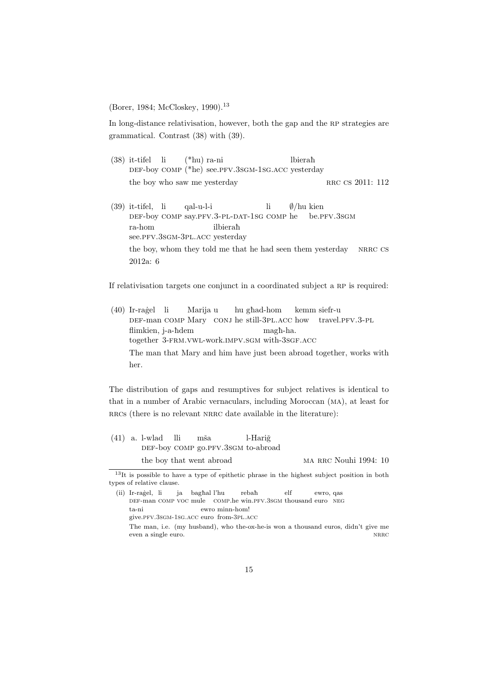(Borer, 1984; McCloskey, 1990).<sup>13</sup>

In long-distance relativisation, however, both the gap and the rp strategies are grammatical. Contrast (38) with (39).

- (38) it-tifel li DEF-boy COMP (\*he) see.PFV.3SGM-1SG.ACC yesterday (\*hu) ra-ni lbierah the boy who saw me yesterday RRC CS 2011: 112
- (39) it-tifel, li def-boy comp say.pfv.3-pl-dat-1sg comp he qal-u-l-i li *∅*/hu kien be.pfv.3sgm ra-hom see.PFV.3sGM-3PL.ACC yesterday ilbieraħ the boy, whom they told me that he had seen them yesterday NRRC CS 2012a: 6

If relativisation targets one conjunct in a coordinated subject a RP is required:

 $(40)$  Ir-ragel li DEF-man COMP Mary CONJ he still-3PL.ACC how travel.PFV.3-PL Marija u hu ghad-hom kemm siefr-u flimkien, j-a-ħdem together 3-FRM. VWL-work. IMPV. SGM with-3SGF. ACC magè-ha. The man that Mary and him have just been abroad together, works with her.

The distribution of gaps and resumptives for subject relatives is identical to that in a number of Arabic vernaculars, including Moroccan (ma), at least for RRCs (there is no relevant NRRC date available in the literature):

(41) a. l-wlad DEF-boy COMP go.PFV.3SGM to-abroad lli mša. l-Hariğ the boy that went abroad ma RRC Nouhi 1994: 10

<sup>13</sup>It is possible to have a type of epithetic phrase in the highest subject position in both types of relative clause.

<sup>(</sup>ii) Ir-ragel, li DEF-man COMP VOC mule COMP.he win.PFV.3SGM thousand euro NEG ja bagħal l'hu  $reba\hbar$ elf ewro, qas ta-ni give.pfv.3sgm-1sg.acc euro from-3pl.acc ewro minn-hom!

The man, i.e. (my husband), who the-ox-he-is won a thousand euros, didn't give me even a single euro. NRRC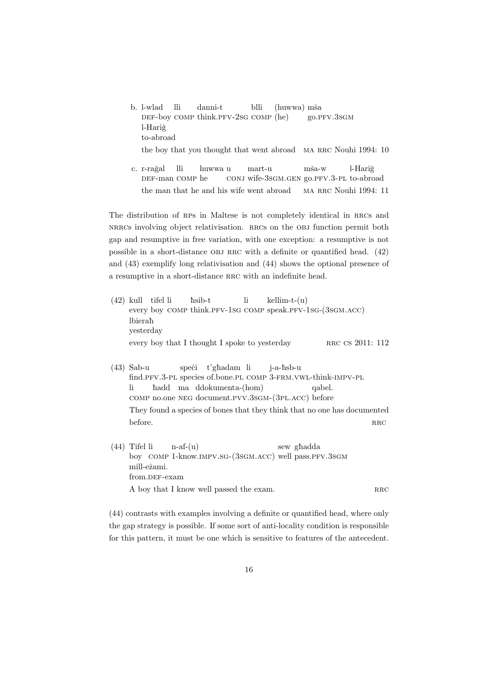b. l-wlad DEF-boy COMP think.PFV-2sG COMP (he) lli danni-t blli (huwwa) mša go.pfv.3sgm l-Hariğ to-abroad

the boy that you thought that went abroad MA RRC Nouhi 1994: 10

c. r-rağal DEF-man COMP he lli huwwa u conj wife-3sgm.gen go.pfv.3-pl to-abroad mart-u mša-w l-Hariğ the man that he and his wife went abroad MA RRC Nouhi 1994: 11

The distribution of RPs in Maltese is not completely identical in RRCs and nracs involving object relativisation. RRCs on the OBJ function permit both gap and resumptive in free variation, with one exception: a resumptive is not possible in a short-distance obj rrc with a definite or quantified head. (42) and (43) exemplify long relativisation and (44) shows the optional presence of a resumptive in a short-distance RRC with an indefinite head.

|           |  | $(42)$ kull tifel li hsib-t li kellim-t- $(u)$ |                                                            |                  |  |
|-----------|--|------------------------------------------------|------------------------------------------------------------|------------------|--|
|           |  |                                                | every boy COMP think.PFV-1SG COMP speak.PFV-1SG-(3SGM.ACC) |                  |  |
| lbierah   |  |                                                |                                                            |                  |  |
| vesterday |  |                                                |                                                            |                  |  |
|           |  | every boy that I thought I spoke to yesterday  |                                                            | RRC CS 2011: 112 |  |

- (43) Sab-u find.PFV.3-PL species of.bone.PL COMP 3-FRM.VWL-think-IMPV-PL speci t'ghadam li j-a-ħsb-u li comp no.one neg document.pvv.3sgm-(3pl.acc) before hadd ma ddokumenta-(hom) qabel. They found a species of bones that they think that no one has documented  $\blacksquare$ before. RRC
- (44) Tifel li boy COMP 1-know.IMPV.SG-(3sGM.ACC) well pass.PFV.3SGM  $n-af-(u)$ sew ghadda mill-eżami. from.DEF-exam A boy that I know well passed the exam. RRC

(44) contrasts with examples involving a definite or quantified head, where only the gap strategy is possible. If some sort of anti-locality condition is responsible for this pattern, it must be one which is sensitive to features of the antecedent.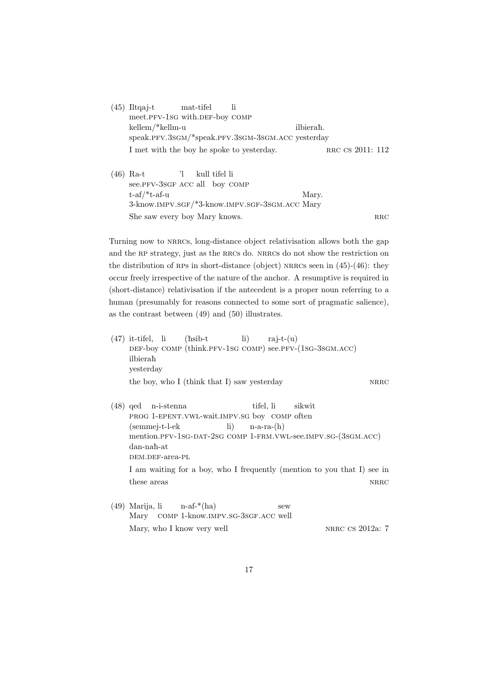- $(45)$  Iltgaj-t meet.PFV-1sG with.DEF-boy COMP mat-tifel li kellem/\*kellm-u speak.pfv.3sgm/\*speak.pfv.3sgm-3sgm.acc yesterday ilbierah. I met with the boy he spoke to yesterday. RRC CS 2011: 112
- (46) Ra-t see.PFV-3sGF ACC all boy COMP 'l kull tifel li t-af/\*t-af-u 3-know.IMPV.SGF/\*3-know.IMPV.SGF-3SGM.ACC Mary Mary. She saw every boy Mary knows. RRC

Turning now to nrrcs, long-distance object relativisation allows both the gap and the RP strategy, just as the RRCs do. NRRCs do not show the restriction on the distribution of RPs in short-distance (object) NRRCs seen in  $(45)-(46)$ : they occur freely irrespective of the nature of the anchor. A resumptive is required in (short-distance) relativisation if the antecedent is a proper noun referring to a human (presumably for reasons connected to some sort of pragmatic salience), as the contrast between (49) and (50) illustrates.

(47) it-tifel, li DEF-boy COMP (think.PFV-1sG COMP) see.PFV-(1sG-3sGM.ACC)  $(h<sub>sib-t</sub>)$ li) raj-t- $(u)$ ilbierah yesterday the boy, who I (think that I) saw yesterday NRRC (48) qed n-i-stenna PROG 1-EPENT. VWL-wait. IMPV. SG boy COMP often tifel, li sikwit (semmej-t-l-ek mention.pfv-1sg-dat-2sg comp 1-frm.vwl-see.impv.sg-(3sgm.acc) li)  $n-a-ra-(h)$ dan-naħ-at dem.def-area-pl I am waiting for a boy, who I frequently (mention to you that I) see in  $t$ hese areas  $NRRC$ (49) Marija, li Mary comp 1-know.impv.sg-3sgf.acc well  $n-af^{-*}(ha)$ sew

Mary, who I know very well NRRC CS 2012a: 7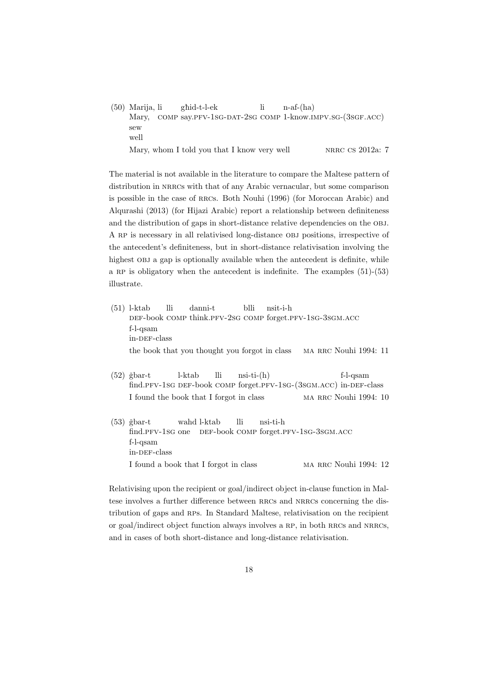(50) Marija, li Mary, comp say.pfv-1sg-dat-2sg comp 1-know.impv.sg-(3sgf.acc) gèid-t-l-ek li  $n-af-(ha)$ sew well Mary, whom I told you that I know very well NRRC CS 2012a: 7

The material is not available in the literature to compare the Maltese pattern of distribution in NRRCs with that of any Arabic vernacular, but some comparison is possible in the case of rrcs. Both Nouhi (1996) (for Moroccan Arabic) and Alqurashi (2013) (for Hijazi Arabic) report a relationship between definiteness and the distribution of gaps in short-distance relative dependencies on the OBJ. A rp is necessary in all relativised long-distance obj positions, irrespective of the antecedent's definiteness, but in short-distance relativisation involving the highest OBJ a gap is optionally available when the antecedent is definite, while a RP is obligatory when the antecedent is indefinite. The examples  $(51)-(53)$ illustrate.

- (51) l-ktab DEF-book COMP think.PFV-2sG COMP forget.PFV-1sG-3sGM.ACC lli danni-t blli nsit-i-h f-l-qsam in-DEF-class the book that you thought you forgot in class MA RRC Nouhi 1994: 11
- $(52)$  *ěbar-t* find.PFV-1sG DEF-book COMP forget.PFV-1sG-(3sGM.ACC) in-DEF-class l-ktab lli  $nsi-ti-(h)$ f-l-qsam I found the book that I forgot in class MA RRC Nouhi 1994: 10
- $(53)$  ğbar-t find.PFV-1sG one DEF-book COMP forget.PFV-1sG-3sGM.ACC wahd l-ktab lli nsi-ti-h f-l-qsam in-DEF-class I found a book that I forgot in class MA RRC Nouhi 1994: 12

Relativising upon the recipient or goal/indirect object in-clause function in Maltese involves a further difference between RRCs and NRRCs concerning the distribution of gaps and RPs. In Standard Maltese, relativisation on the recipient or goal/indirect object function always involves a RP, in both RRCs and NRRCs, and in cases of both short-distance and long-distance relativisation.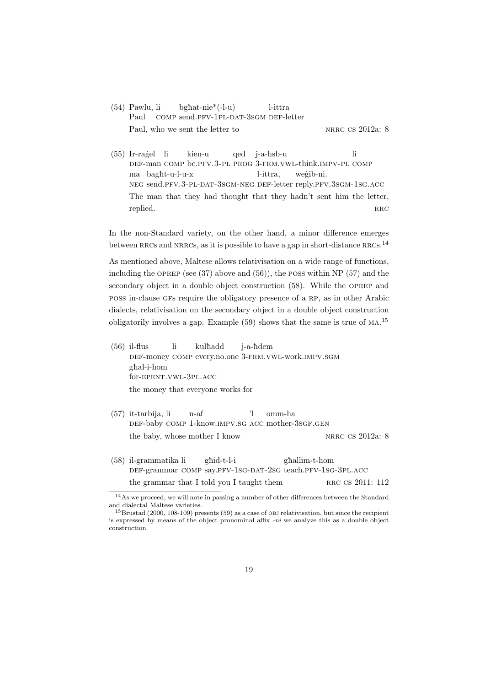- (54) Pawlu, li Paul comp send.pfv-1pl-dat-3sgm def-letter  $b$ ghat-nie<sup>\*</sup>(-l-u) l-ittra Paul, who we sent the letter to NRRC CS 2012a: 8
- $(55)$  Ir-ragel li def-man comp be.pfv.3-pl prog 3-frm.vwl-think.impv-pl comp kien-u qed j-a-ħsb-u li ma bagħt-u-l-u-x neg send.pfv.3-pl-dat-3sgm-neg def-letter reply.pfv.3sgm-1sg.acc l-ittra, weġib-ni. The man that they had thought that they hadn't sent him the letter, replied. RRC

In the non-Standard variety, on the other hand, a minor difference emerges between RRCs and NRRCs, as it is possible to have a gap in short-distance RRCs.<sup>14</sup>

As mentioned above, Maltese allows relativisation on a wide range of functions, including the OPREP (see  $(37)$  above and  $(56)$ ), the POSS within NP  $(57)$  and the secondary object in a double object construction (58). While the oprep and poss in-clause gfs require the obligatory presence of a rp, as in other Arabic dialects, relativisation on the secondary object in a double object construction obligatorily involves a gap. Example (59) shows that the same is true of ma. 15

- $(56)$  il-flus def-money comp every.no.one 3-frm.vwl-work.impv.sgm li kulhadd j-a-èdem gèal-i-hom for-epent.vwl-3pl.acc the money that everyone works for
- (57) it-tarbija, li DEF-baby COMP 1-know.IMPV.SG ACC mother-3SGF.GEN n-af 'l omm-ha the baby, whose mother I know NRRC CS 2012a: 8
- (58) il-grammatika li def-grammar comp say.pfv-1sg-dat-2sg teach.pfv-1sg-3pl.acc gèid-t-l-i gèallim-t-hom the grammar that I told you I taught them RRC  $\text{CR}$  2011: 112

 $^{14}\mathrm{As}$  we proceed, we will note in passing a number of other differences between the Standard and dialectal Maltese varieties.

<sup>15</sup>Brustad (2000, 108-109) presents (59) as a case of obj relativisation, but since the recipient is expressed by means of the object pronominal affix *-ni* we analyze this as a double object construction.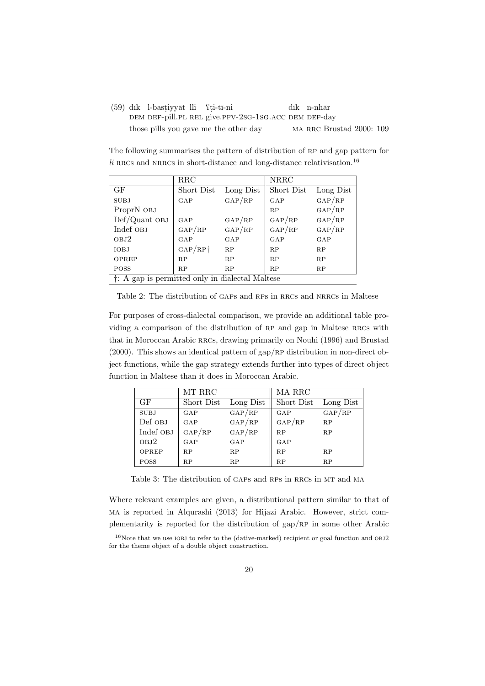(59) dīk l-bastiyyāt lli fti-tī-ni DEM DEF-pill.PL REL give.PFV-2SG-1SG.ACC DEM DEF-day dīk n-nhār those pills you gave me the other day MA RRC Brustad 2000: 109

The following summarises the pattern of distribution of RP and gap pattern for  $li$  RRCs and NRRCs in short-distance and long-distance relativisation.<sup>16</sup>

|                                                             | $_{\rm RRC}$                        |                    | NRRC               |                    |
|-------------------------------------------------------------|-------------------------------------|--------------------|--------------------|--------------------|
| GF                                                          | Short Dist                          | Long Dist          | Short Dist         | Long Dist          |
| <b>SUBJ</b>                                                 | GAP                                 | GAP/RP             | GAP                | $\rm{GAP}/\rm{RP}$ |
| ProprN OBJ                                                  |                                     |                    | RP                 | GAP/RP             |
| Def/Quant OBJ                                               | GAP                                 | $\rm{GAP}/\rm{RP}$ | $\rm{GAP}/\rm{RP}$ | GAP/RP             |
| Indef OBJ                                                   | GAP/RP                              | GAP/RP             | $\rm{GAP}/\rm{RP}$ | GAP/RP             |
| OBJ2                                                        | GAP                                 | GAP                | GAP                | GAP                |
| <b>IOBJ</b>                                                 | $\text{GAP}/\text{RP}$ <sup>+</sup> | RP                 | RP                 | RP                 |
| OPREP                                                       | RP                                  | RP                 | RP                 | RP                 |
| <b>POSS</b>                                                 | RP                                  | RP                 | RP                 | RP                 |
| <sup>†</sup> : A gap is permitted only in dialectal Maltese |                                     |                    |                    |                    |

Table 2: The distribution of GAPs and RPs in RRCs and NRRCs in Maltese

For purposes of cross-dialectal comparison, we provide an additional table providing a comparison of the distribution of RP and gap in Maltese RRCs with that in Moroccan Arabic RRCs, drawing primarily on Nouhi (1996) and Brustad  $(2000)$ . This shows an identical pattern of gap/RP distribution in non-direct object functions, while the gap strategy extends further into types of direct object function in Maltese than it does in Moroccan Arabic.

|             | MT RRC             |                    | MA RRC     |           |
|-------------|--------------------|--------------------|------------|-----------|
| GF          | Short Dist         | Long Dist          | Short Dist | Long Dist |
| <b>SUBJ</b> | GAP                | $\rm{GAP}/\rm{RP}$ | GAP        | GAP/RP    |
| Def OBJ     | GAP                | $\rm{GAP}/\rm{RP}$ | GAP/RP     | RP        |
| Indef OBJ   | $\rm{GAP}/\rm{RP}$ | GAP/RP             | RP         | RP        |
| OBJ2        | GAP                | GAP                | GAP        |           |
| OPREP       | RP                 | RP                 | RP         | RP        |
| <b>POSS</b> | RP                 | RP                 | RP         | RP        |

Table 3: The distribution of GAPs and RPs in RRCs in MT and MA

Where relevant examples are given, a distributional pattern similar to that of ma is reported in Alqurashi (2013) for Hijazi Arabic. However, strict complementarity is reported for the distribution of  $\text{gap}/\text{RP}$  in some other Arabic

 $16$ Note that we use IOBJ to refer to the (dative-marked) recipient or goal function and OBJ2 for the theme object of a double object construction.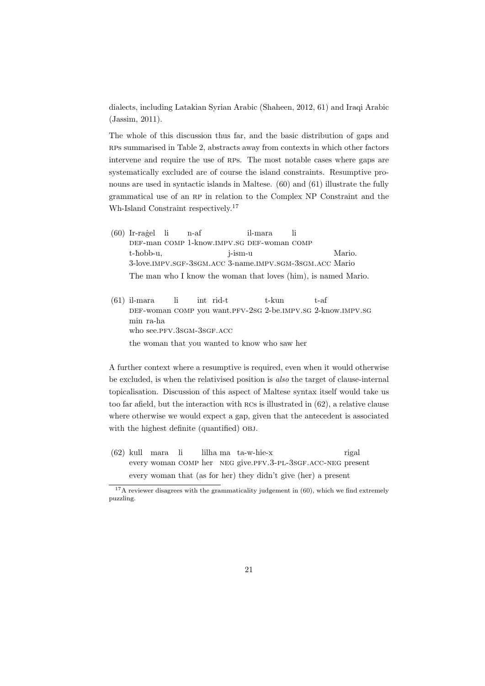dialects, including Latakian Syrian Arabic (Shaheen, 2012, 61) and Iraqi Arabic (Jassim, 2011).

The whole of this discussion thus far, and the basic distribution of gaps and rps summarised in Table 2, abstracts away from contexts in which other factors intervene and require the use of RPs. The most notable cases where gaps are systematically excluded are of course the island constraints. Resumptive pronouns are used in syntactic islands in Maltese. (60) and (61) illustrate the fully grammatical use of an rp in relation to the Complex NP Constraint and the Wh-Island Constraint respectively.<sup>17</sup>

- $(60)$  Ir-ragel li def-man comp 1-know.impv.sg def-woman comp n-af il-mara li t-hobb-u, 3-love.impv.sgf-3sgm.acc 3-name.impv.sgm-3sgm.acc Mario j-ism-u Mario. The man who I know the woman that loves (him), is named Mario.
- $(61)$  il-mara DEF-woman COMP you want.PFV-2sG 2-be.IMPV.SG 2-know.IMPV.SG li int rid-t t-kun t-af min ra-ha who see.PFV.3sGM-3sGF.ACC the woman that you wanted to know who saw her

A further context where a resumptive is required, even when it would otherwise be excluded, is when the relativised position is *also* the target of clause-internal topicalisation. Discussion of this aspect of Maltese syntax itself would take us too far afield, but the interaction with rcs is illustrated in (62), a relative clause where otherwise we would expect a gap, given that the antecedent is associated with the highest definite (quantified) OBJ.

(62) kull mara li every woman comp her neg give.pfv.3-pl-3sgf.acc-neg present lilha ma ta-w-hie-x rigal every woman that (as for her) they didn't give (her) a present

 $17A$  reviewer disagrees with the grammaticality judgement in (60), which we find extremely puzzling.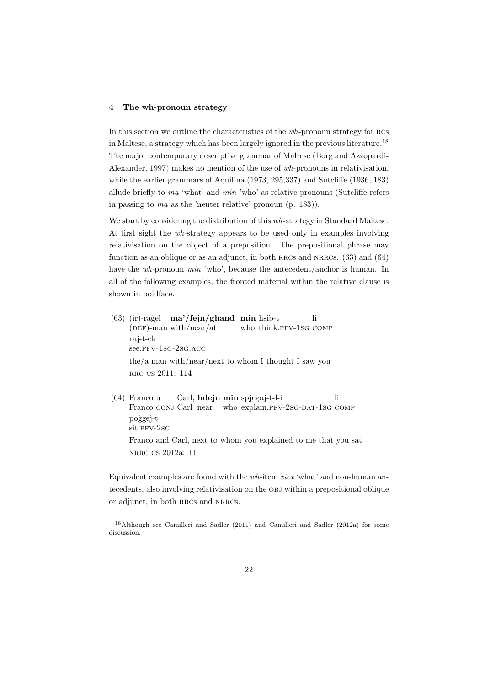# **4 The wh-pronoun strategy**

In this section we outline the characteristics of the *wh*-pronoun strategy for rcs in Maltese, a strategy which has been largely ignored in the previous literature.<sup>18</sup> The major contemporary descriptive grammar of Maltese (Borg and Azzopardi-Alexander, 1997) makes no mention of the use of *wh*-pronouns in relativisation, while the earlier grammars of Aquilina (1973, 295,337) and Sutcliffe (1936, 183) allude briefly to *ma* 'what' and *min* 'who' as relative pronouns (Sutcliffe refers in passing to *ma* as the 'neuter relative' pronoun (p. 183)).

We start by considering the distribution of this *wh*-strategy in Standard Maltese. At first sight the *wh-*strategy appears to be used only in examples involving relativisation on the object of a preposition. The prepositional phrase may function as an oblique or as an adjunct, in both RRCs and NRRCs.  $(63)$  and  $(64)$ have the *wh*-pronoun *min* 'who', because the antecedent/anchor is human. In all of the following examples, the fronted material within the relative clause is shown in boldface.

- (63) (ir)-ragel **ma'/fejn/ghand min** hsib-t (DEF)-man with/near/at who think.PFV-1SG COMP li raj-t-ek see.pfv-1sg-2sg.acc the/a man with/near/next to whom I thought I saw you RRC CS 2011: 114
- (64) Franco u Franco CONJ Carl near who explain.PFV-2SG-DAT-1SG COMP Carl, è**dejn min** spjegaj-t-l-i li poġġej-t sit.prv-2sg Franco and Carl, next to whom you explained to me that you sat nrrc cs 2012a: 11

Equivalent examples are found with the *wh-*item *xiex* 'what' and non-human antecedents, also involving relativisation on the obj within a prepositional oblique or adjunct, in both rrcs and nrrcs.

<sup>18</sup>Although see Camilleri and Sadler (2011) and Camilleri and Sadler (2012a) for some discussion.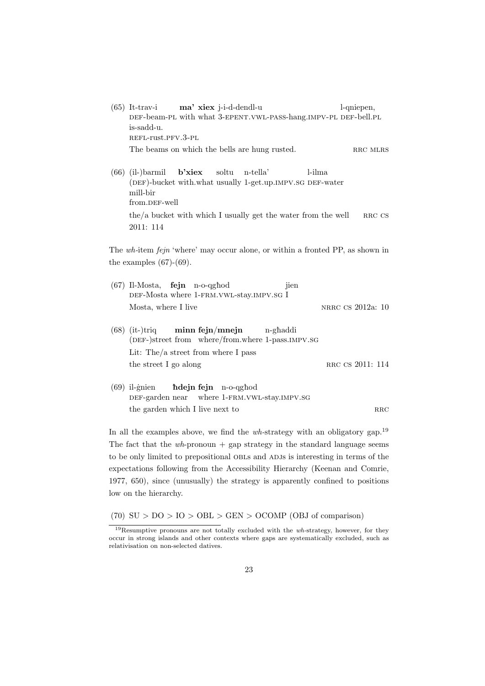- (65) It-trav-i DEF-beam-PL with what 3-EPENT. VWL-PASS-hang. IMPV-PL DEF-bell. PL **ma' xiex** j-i-d-dendl-u l-qniepen, is-sadd-u. refl-rust.pfv.3-pl The beams on which the bells are hung rusted. RRC MLRS
- (66) (il-)barmil (DEF)-bucket with.what usually 1-get.up.IMPV.SG DEF-water **b'xiex** soltu n-tella' l-ilma mill-bir from.DEF-well the/a bucket with which I usually get the water from the well  $RRC CS$ 2011: 114

The *wh-*item *fejn* 'where' may occur alone, or within a fronted PP, as shown in the examples  $(67)-(69)$ .

| $(67)$ Il-Mosta, <b>fejn</b> n-o-qghod<br>jien<br>DEF-Mosta where 1-FRM. VWL-stay. IMPV. SG I                                                                     |                   |
|-------------------------------------------------------------------------------------------------------------------------------------------------------------------|-------------------|
| Mosta, where I live                                                                                                                                               | NRRC CS 2012a: 10 |
| $(68)$ (it-)triq minn fejn/mnejn n-ghaddi<br>(DEF-)street from where/from.where 1-pass.IMPV.SG<br>Lit: The $/a$ street from where I pass<br>the street I go along | RRC CS 2011: 114  |
| $(69)$ il-gnien <b>hdejn fejn</b> n-o-qghod<br>DEF-garden near where 1-FRM. VWL-stay. IMPV. SG                                                                    |                   |

the garden which I live next to rrc

In all the examples above, we find the *wh-*strategy with an obligatory gap.<sup>19</sup> The fact that the  $wh$ -pronoun  $+$  gap strategy in the standard language seems to be only limited to prepositional OBLs and ADJs is interesting in terms of the expectations following from the Accessibility Hierarchy (Keenan and Comrie, 1977, 650), since (unusually) the strategy is apparently confined to positions low on the hierarchy.

(70) SU *>* DO *>* IO *>* OBL *>* GEN *>* OCOMP (OBJ of comparison)

<sup>19</sup>Resumptive pronouns are not totally excluded with the *wh-*strategy, however, for they occur in strong islands and other contexts where gaps are systematically excluded, such as relativisation on non-selected datives.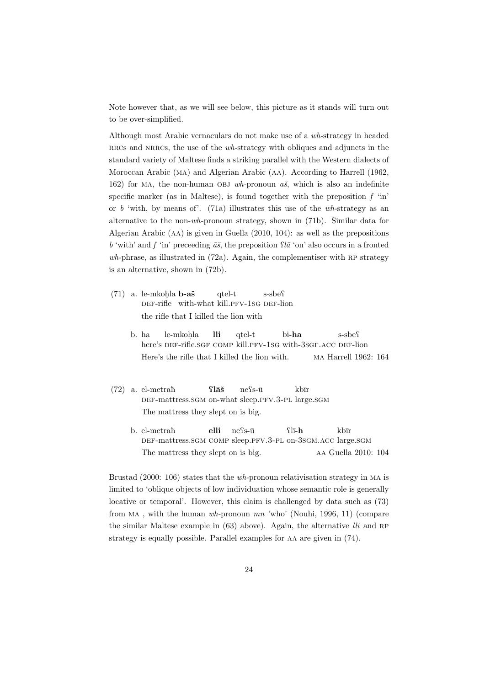Note however that, as we will see below, this picture as it stands will turn out to be over-simplified.

Although most Arabic vernaculars do not make use of a *wh-*strategy in headed rracs and NRRCs, the use of the *wh*-strategy with obliques and adjuncts in the standard variety of Maltese finds a striking parallel with the Western dialects of Moroccan Arabic (ma) and Algerian Arabic (aa). According to Harrell (1962, 162) for MA, the non-human OBJ  $wh$ -pronoun  $a\check{s}$ , which is also an indefinite specific marker (as in Maltese), is found together with the preposition  $f$  'in' or *b* 'with, by means of'. (71a) illustrates this use of the *wh-*strategy as an alternative to the non-*wh*-pronoun strategy, shown in (71b). Similar data for Algerian Arabic (aa) is given in Guella (2010, 104): as well as the prepositions *b* 'with' and *f* 'in' preceeding  $\bar{a}\tilde{s}$ , the preposition  $\Omega \bar{a}$  'on' also occurs in a fronted *wh-*phrase, as illustrated in (72a). Again, the complementiser with rp strategy is an alternative, shown in (72b).

- (71) a. le-mkoh la **b-aˇs** DEF-rifle with-what kill.PFV-1SG DEF-lion qtel-t s-sbe<sup>c</sup> the rifle that I killed the lion with
	- b. ha here's DEF-rifle.SGF COMP kill.PFV-1SG with-3SGF.ACC DEF-lion le-mkoh la **lli** qtel-t bi-**ha** s-sbe<sup>c</sup> Here's the rifle that I killed the lion with. ma Harrell 1962: 164
- $(72)$  a. el-metrah DEF-mattress.SGM on-what sleep.PFV.3-PL large.SGM Q**l¯aˇs**  $ne$ s- $\bar{u}$ kbīr The mattress they slept on is big.
	- b. el-metrah DEF-mattress.SGM COMP sleep.PFV.3-PL on-3SGM.ACC large.SGM **elli**  $ne$ s-ū Ql¯ı-**h** kbīr The mattress they slept on is big. AA Guella 2010: 104

Brustad (2000: 106) states that the *wh-*pronoun relativisation strategy in ma is limited to 'oblique objects of low individuation whose semantic role is generally locative or temporal'. However, this claim is challenged by data such as (73) from ma , with the human *wh-*pronoun *mn* 'who' (Nouhi, 1996, 11) (compare the similar Maltese example in (63) above). Again, the alternative *lli* and RP strategy is equally possible. Parallel examples for aa are given in (74).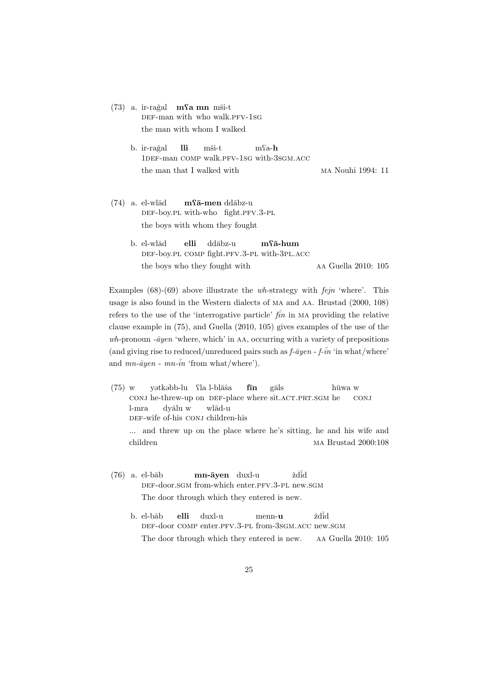|  | $(73)$ a. ir-rağal <b>m</b> si <b>m</b> mši-t |  |                               |
|--|-----------------------------------------------|--|-------------------------------|
|  |                                               |  | DEF-man with who walk.PFV-1SG |
|  |                                               |  | the man with whom I walked    |

- b. ir-rağal 1DEF-man COMP walk.PFV-1SG with-3SGM.ACC **lli** mši-t mQa-**h** the man that I walked with  $M_A$  Mouhi 1994: 11
- $(74)$  a. el-wl $\bar{a}d$ DEF-boy.PL with-who fight.PFV.3-PL  $m$ **fā-men** ddābz-u the boys with whom they fought
	- b. el-wlād DEF-boy.PL COMP fight.PFV.3-PL with-3PL.ACC **elli** ddābz-u **m**Q**¯a-hum** the boys who they fought with  $\qquad \qquad$  AA Guella 2010: 105

Examples (68)-(69) above illustrate the *wh-*strategy with *fejn* 'where'. This usage is also found in the Western dialects of ma and aa. Brustad (2000, 108) refers to the use of the 'interrogative particle'  $f\overline{in}$  in MA providing the relative clause example in (75), and Guella (2010, 105) gives examples of the use of the *wh*-pronoun *-* $\bar{a}$ *yen* 'where, which' in AA, occurring with a variety of prepositions (and giving rise to reduced/unreduced pairs such as  $f\text{-}\bar{a}y\text{e}n - f\text{-}\bar{in}$  'in what/where' and  $mn\text{-}\bar{a}yen - mn\text{-}in$  'from what/where').

- (75) w conj he-threw-up on DEF-place where sit.acT.PRT.SGM he yətkəbb-lu fla l-blāsa **f¯ın** gāls hūwa w conj l-mra DEF-wife of-his CONJ children-his dyālu w wlād-u ... and threw up on the place where he's sitting, he and his wife and children ma Brustad 2000:108
- $(76)$  a. el-bāb DEF-door.SGM from-which enter.PFV.3-PL new.SGM **mn-¯ayen** duxl-u ždid The door through which they entered is new.
	- b. el-bāb DEF-door COMP enter.PFV.3-PL from-3SGM.ACC new.SGM **elli** duxl-u menn-**u** ždid The door through which they entered is new. aa Guella 2010: 105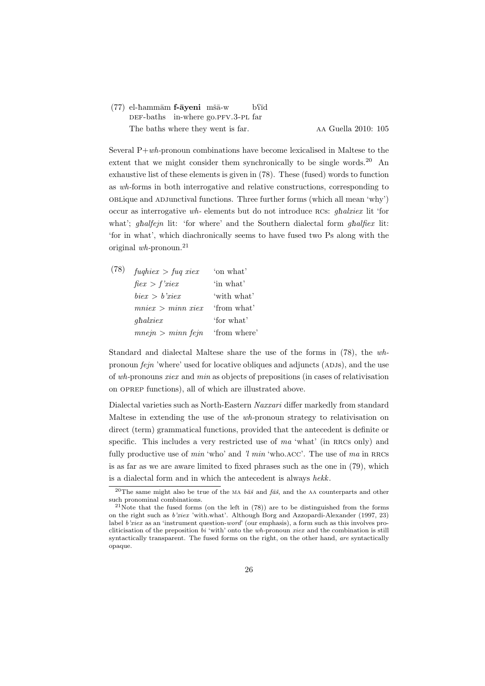#### (77) el-hammām f-āyeni mšā-w DEF-baths in-where go.PFV.3-PL far b<sup>o</sup>īd The baths where they went is far. An Guella 2010: 105

Several P+*wh-*pronoun combinations have become lexicalised in Maltese to the extent that we might consider them synchronically to be single words.<sup>20</sup> An exhaustive list of these elements is given in (78). These (fused) words to function as *wh-*forms in both interrogative and relative constructions, corresponding to oblique and adjunctival functions. Three further forms (which all mean 'why') occur as interrogative *wh-* elements but do not introduce rcs: *g*è*alxiex* lit 'for what'; *ghalfejn* lit: 'for where' and the Southern dialectal form *ghalfiex* lit: 'for in what', which diachronically seems to have fused two Ps along with the original *wh-*pronoun.<sup>21</sup>

| (78) | $fughierz > fuq\ xierz$ | 'on what'    |
|------|-------------------------|--------------|
|      | $f \in x > f' x \in x$  | 'in what'    |
|      | bier > b'rier           | 'with what'  |
|      | $mnier > minn$ riex     | 'from what'  |
|      | $qhalx$ <i>iex</i>      | 'for what'   |
|      | mnejn > minn fejn       | 'from where' |

Standard and dialectal Maltese share the use of the forms in (78), the *wh*pronoun *fejn* 'where' used for locative obliques and adjuncts (ADJs), and the use of *wh-*pronouns *xiex* and *min* as objects of prepositions (in cases of relativisation on oprep functions), all of which are illustrated above.

Dialectal varieties such as North-Eastern *Naxxari* differ markedly from standard Maltese in extending the use of the *wh-*pronoun strategy to relativisation on direct (term) grammatical functions, provided that the antecedent is definite or specific. This includes a very restricted use of *ma* 'what' (in RRCs only) and fully productive use of *min* 'who' and *'l min* 'who.acc'. The use of *ma* in RRCs is as far as we are aware limited to fixed phrases such as the one in (79), which is a dialectal form and in which the antecedent is always *hekk*.

<sup>&</sup>lt;sup>20</sup>The same might also be true of the MA  $b\bar{a}\tilde{s}$  and  $\bar{a}\tilde{s}$ , and the AA counterparts and other such pronominal combinations.

<sup>&</sup>lt;sup>21</sup>Note that the fused forms (on the left in  $(78)$ ) are to be distinguished from the forms on the right such as *b'xiex* 'with.what'. Although Borg and Azzopardi-Alexander (1997, 23) label *b'xiex* as an 'instrument question-*word*' (our emphasis), a form such as this involves procliticisation of the preposition *bi* 'with' onto the *wh-*pronoun *xiex* and the combination is still syntactically transparent. The fused forms on the right, on the other hand, *are* syntactically opaque.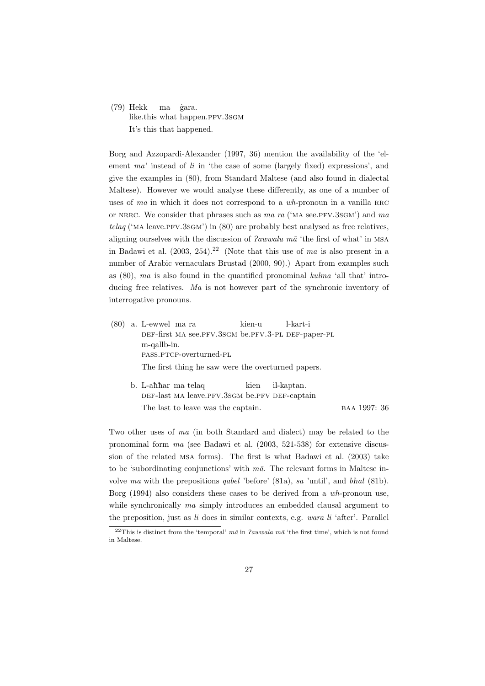(79) Hekk like.this what happen.PFV.3sGM ma ˙gara. It's this that happened.

Borg and Azzopardi-Alexander (1997, 36) mention the availability of the 'element *ma*' instead of *li* in 'the case of some (largely fixed) expressions', and give the examples in (80), from Standard Maltese (and also found in dialectal Maltese). However we would analyse these differently, as one of a number of uses of *ma* in which it does not correspond to a *wh*-pronoun in a vanilla RRC or nrrc. We consider that phrases such as *ma ra* ('ma see.pfv.3sgm') and *ma telaq* ('MA leave.PFV.3sGM') in (80) are probably best analysed as free relatives, aligning ourselves with the discussion of *Pawwalu ma* 'the first of what' in MSA in Badawi et al.  $(2003, 254).^{22}$  (Note that this use of *ma* is also present in a number of Arabic vernaculars Brustad (2000, 90).) Apart from examples such as (80), *ma* is also found in the quantified pronominal *kulma* 'all that' introducing free relatives. *Ma* is not however part of the synchronic inventory of interrogative pronouns.

- (80) a. L-ewwel ma ra def-first ma see.pfv.3sgm be.pfv.3-pl def-paper-pl kien-u l-kart-i m-qallb-in. pass.ptcp-overturned-pl The first thing he saw were the overturned papers. b. L-ahhar ma telaq kien il-kaptan.
	- def-last ma leave.pfv.3sgm be.pfv def-captain The last to leave was the captain. BAA 1997: 36

Two other uses of *ma* (in both Standard and dialect) may be related to the pronominal form *ma* (see Badawi et al. (2003, 521-538) for extensive discussion of the related msa forms). The first is what Badawi et al. (2003) take to be 'subordinating conjunctions' with  $m\bar{a}$ . The relevant forms in Maltese involve *ma* with the prepositions *qabel* 'before' (81a), *sa* 'until', and *b*è*al* (81b). Borg (1994) also considers these cases to be derived from a *wh*-pronoun use, while synchronically *ma* simply introduces an embedded clausal argument to the preposition, just as *li* does in similar contexts, e.g. *wara li* 'after'. Parallel

<sup>&</sup>lt;sup>22</sup>This is distinct from the 'temporal'  $m\bar{a}$  in *lawwala*  $m\bar{a}$  'the first time', which is not found in Maltese.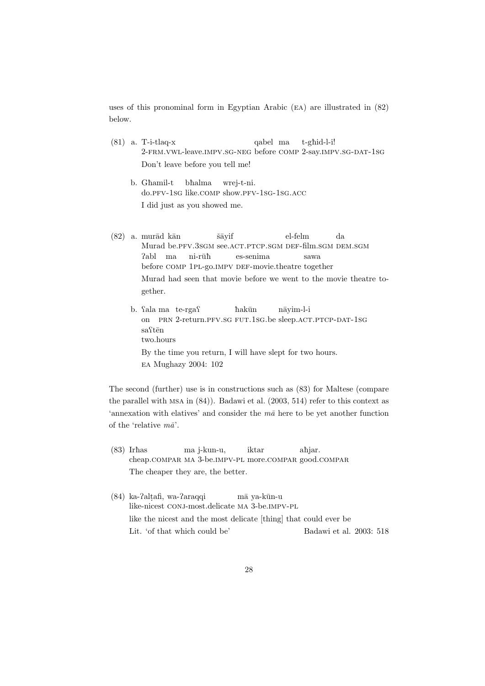uses of this pronominal form in Egyptian Arabic (ea) are illustrated in (82) below.

- (81) a. T-i-tlaq-x 2-frm.vwl-leave.impv.sg-neg before comp 2-say.impv.sg-dat-1sg qabel ma t-ghid-l-i! Don't leave before you tell me!
	- b. Ghamil-t do.pfv-1sg like.comp show.pfv-1sg-1sg.acc bèalma wrej-t-ni. I did just as you showed me.
- $(82)$  a. murād kān Murad be.PFV.3sGM see.ACT.PTCP.SGM DEF-film.SGM DEM.SGM ˇs¯ayif el-felm da Pabl ma before COMP 1PL-go.IMPV DEF-movie.theatre together  $ni$ -rū $\hbar$ es-senima sawa Murad had seen that movie before we went to the movie theatre together.
	- b. fala ma te-rgaf on PRN 2-return.PFV.SG FUT.1SG.be sleep.ACT.PTCP-DAT-1SG hakūn n¯ayim-l-i sa<sup>Stēn</sup> two.hours By the time you return, I will have slept for two hours. ea Mughazy 2004: 102

The second (further) use is in constructions such as (83) for Maltese (compare the parallel with msa in (84)). Badawi et al. (2003, 514) refer to this context as 'annexation with elatives' and consider the  $m\bar{a}$  here to be yet another function of the 'relative  $m\bar{a}$ '.

- $(83)$  Irhas cheap.compar ma 3-be.impv-pl more.compar good.compar ma j-kun-u, iktar ahjar. The cheaper they are, the better.
- (84) ka-Palt afi, wa-Paraqqi like-nicest CONJ-most.delicate MA 3-be.IMPV-PL mā ya-kūn-u like the nicest and the most delicate [thing] that could ever be Lit. 'of that which could be' Badawi et al. 2003: 518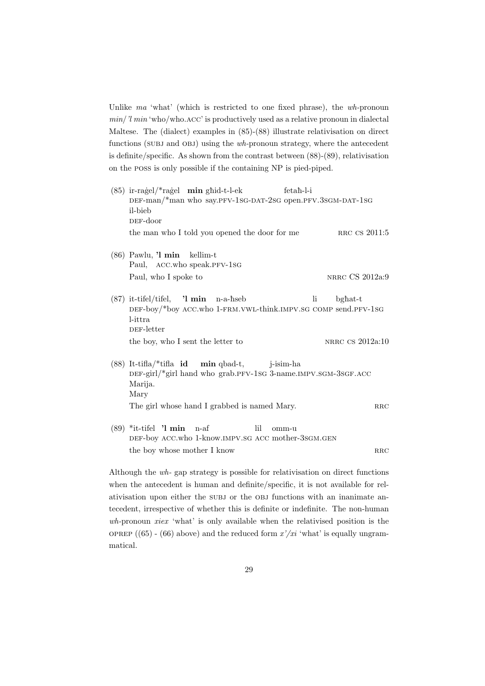Unlike *ma* 'what' (which is restricted to one fixed phrase), the *wh-*pronoun *min*/*'l min* 'who/who.acc' is productively used as a relative pronoun in dialectal Maltese. The (dialect) examples in (85)-(88) illustrate relativisation on direct functions (subj and obj) using the *wh-*pronoun strategy, where the antecedent is definite/specific. As shown from the contrast between (88)-(89), relativisation on the poss is only possible if the containing NP is pied-piped.

- (85) ir-ragel/\*ragel **min** ghid-t-l-ek DEF-man/\*man who say.PFV-1sG-DAT-2sG open.PFV.3sGM-DAT-1sG fetaħ-l-i il-bieb def-door the man who I told you opened the door for me  $RRC CS 2011:5$ (86) Pawlu, **'l min** kellim-t Paul, ACC.who speak.PFV-1sG Paul, who I spoke to NRRC CS 2012a:9 (87) it-tifel/tifel, DEF-boy/\*boy ACC.who 1-FRM.VWL-think.IMPV.SG COMP send.PFV-1SG **'l min** n-a-èseb li bghat-t l-ittra DEF-letter the boy, who I sent the letter to NRRC CS 2012a:10 (88) It-tifla/\*tifla **id** DEF-girl/\*girl hand who grab.PFV-1sG 3-name.IMPV.SGM-3SGF.ACC **min** qbad-t, j-isim-ha
- Marija. Mary The girl whose hand I grabbed is named Mary.
- (89) \*it-tifel **'l min** n-af DEF-boy ACC.who 1-know.IMPV.SG ACC mother-3sGM.GEN lil omm-u  $\Box$  the boy whose mother I know rrcc  $\Box$  rates are reached in Fig.

Although the *wh-* gap strategy is possible for relativisation on direct functions when the antecedent is human and definite/specific, it is not available for relativisation upon either the subj or the obj functions with an inanimate antecedent, irrespective of whether this is definite or indefinite. The non-human *wh-*pronoun *xiex* 'what' is only available when the relativised position is the oprep  $(65)$  -  $(66)$  above) and the reduced form  $x'/xi$  'what' is equally ungrammatical.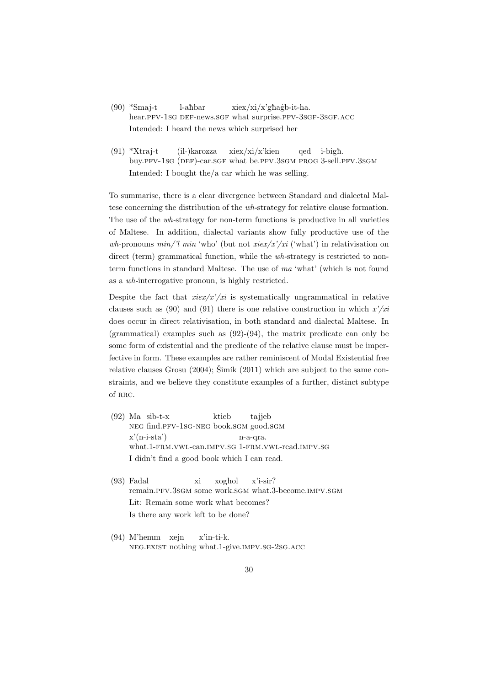- $(90)$  \*Smaj-t hear.PFV-1sG DEF-news.SGF what surprise.PFV-3sGF-3sGF.ACC l-ahbar  $xiex/xi/x'gha\n-itha.$ Intended: I heard the news which surprised her
- $(91)$  \*Xtraj-t buy.PFV-1sG (DEF)-car.SGF what be.PFV.3SGM PROG 3-sell.PFV.3SGM (il-)karozza xiex/xi/x'kien qed i-bigh. Intended: I bought the/a car which he was selling.

To summarise, there is a clear divergence between Standard and dialectal Maltese concerning the distribution of the *wh-*strategy for relative clause formation. The use of the *wh-*strategy for non-term functions is productive in all varieties of Maltese. In addition, dialectal variants show fully productive use of the *wh-*pronouns *min/'l min* 'who' (but not *xiex/x'/xi* ('what') in relativisation on direct (term) grammatical function, while the *wh-*strategy is restricted to nonterm functions in standard Maltese. The use of *ma* 'what' (which is not found as a *wh-*interrogative pronoun, is highly restricted.

Despite the fact that  $\text{riex}/x'/\text{ri}$  is systematically ungrammatical in relative clauses such as (90) and (91) there is one relative construction in which *x'/xi* does occur in direct relativisation, in both standard and dialectal Maltese. In (grammatical) examples such as (92)-(94), the matrix predicate can only be some form of existential and the predicate of the relative clause must be imperfective in form. These examples are rather reminiscent of Modal Existential free relative clauses Grosu  $(2004)$ ; Šimík  $(2011)$  which are subject to the same constraints, and we believe they constitute examples of a further, distinct subtype of RRC.

- (92) Ma sib-t-x neg find.pfv-1sg-neg book.sgm good.sgm ktieb tajjeb  $x'(n-i-sta')$ what.1-frm.vwl-can.impv.sg 1-frm.vwl-read.impv.sg n-a-qra. I didn't find a good book which I can read.
- (93) Fadal remain.PFV.3sGM some work.sGM what.3-become.IMPV.SGM xi xoghol x'i-sir? Lit: Remain some work what becomes? Is there any work left to be done?
- (94) M'hemm xejn neg.exist nothing what.1-give.impv.sg-2sg.acc x'in-ti-k.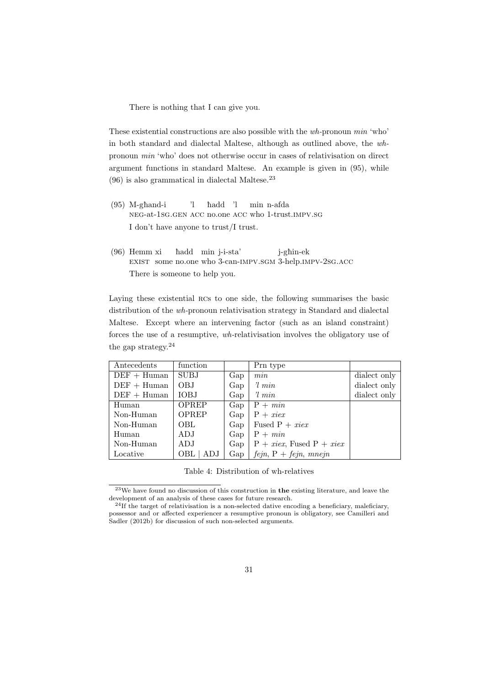There is nothing that I can give you.

These existential constructions are also possible with the *wh-*pronoun *min* 'who' in both standard and dialectal Maltese, although as outlined above, the *wh*pronoun *min* 'who' does not otherwise occur in cases of relativisation on direct argument functions in standard Maltese. An example is given in (95), while  $(96)$  is also grammatical in dialectal Maltese.<sup>23</sup>

- $(95)$  M-ghand-i neg-at-1sg.gen acc no.one acc who 1-trust.impv.sg 'l hadd 'l min n-afda I don't have anyone to trust/I trust.
- (96) Hemm xi EXIST some no.one who 3-can-IMPV.SGM 3-help.IMPV-2SG.ACC hadd min j-i-sta' j-gèin-ek There is someone to help you.

Laying these existential rcs to one side, the following summarises the basic distribution of the *wh-*pronoun relativisation strategy in Standard and dialectal Maltese. Except where an intervening factor (such as an island constraint) forces the use of a resumptive, *wh-*relativisation involves the obligatory use of the gap strategy.<sup>24</sup>

| Antecedents   | function    |     | Prn type                    |              |
|---------------|-------------|-----|-----------------------------|--------------|
| $DEF + Human$ | <b>SUBJ</b> | Gap | min                         | dialect only |
| $DEF + Human$ | OBJ         | Gap | $\eta$ min                  | dialect only |
| $DEF + Human$ | <b>IOBJ</b> | Gap | $\lim$ $\lim$               | dialect only |
| Human         | OPREP       | Gap | $P + min$                   |              |
| Non-Human     | OPREP       | Gap | $P + xie$                   |              |
| Non-Human     | OBL         | Gap | Fused $P + xie$             |              |
| Human         | ADJ         | Gap | $P + min$                   |              |
| Non-Human     | ADJ         | Gap | $P + xie$ , Fused $P + xie$ |              |
| Locative      | OBL<br>ADJ  | Gap | $fejn, P + fejn, mnejn$     |              |

Table 4: Distribution of wh-relatives

<sup>23</sup>We have found no discussion of this construction in **the** existing literature, and leave the development of an analysis of these cases for future research.

 $^{24}$ If the target of relativisation is a non-selected dative encoding a beneficiary, maleficiary, possessor and or affected experiencer a resumptive pronoun is obligatory, see Camilleri and Sadler (2012b) for discussion of such non-selected arguments.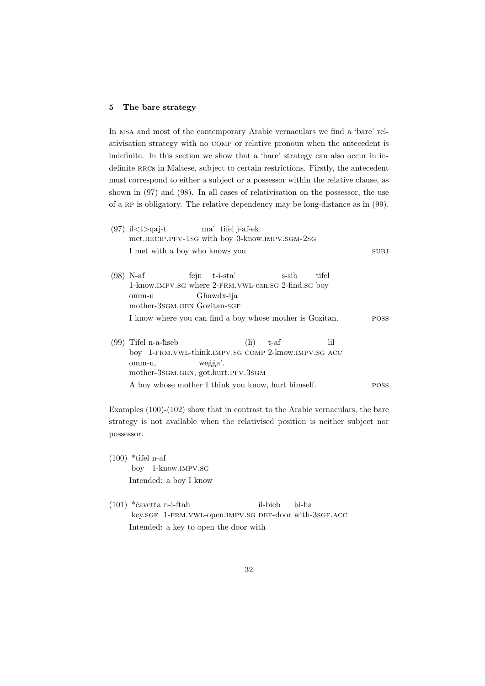### **5 The bare strategy**

In msa and most of the contemporary Arabic vernaculars we find a 'bare' relativisation strategy with no comp or relative pronoun when the antecedent is indefinite. In this section we show that a 'bare' strategy can also occur in indefinite RRCs in Maltese, subject to certain restrictions. Firstly, the antecedent must correspond to either a subject or a possessor within the relative clause, as shown in (97) and (98). In all cases of relativisation on the possessor, the use of a RP is obligatory. The relative dependency may be long-distance as in (99).

|      | $(97)$ il $lt$ $\geq$ q a j-t ma' tifel j-a f-e k<br>met.RECIP.PFV-1sG with boy 3-know.IMPV.SGM-2sG                                                                        |             |
|------|----------------------------------------------------------------------------------------------------------------------------------------------------------------------------|-------------|
|      | I met with a boy who knows you                                                                                                                                             | <b>SUBJ</b> |
|      | $(98)$ N-af<br>fejn t-i-sta'<br>s-sib<br>tifel<br>1-know.IMPV.SG where 2-FRM.VWL-can.SG 2-find.SG boy<br>Ghawdx-ija<br>omm-u<br>mother-3sGM.GEN Gozitan-SGF                |             |
|      | I know where you can find a boy whose mother is Gozitan.                                                                                                                   | <b>POSS</b> |
| (99) | $(\mathrm{li})$<br>Tifel n-a-hseb<br>lil<br>$t$ -af<br>boy 1-FRM. VWL-think. IMPV. SG COMP 2-know. IMPV. SG ACC<br>wegga'.<br>omm-u,<br>mother-3sGM.GEN, got.hurt.PFV.3sGM |             |
|      | A boy whose mother I think you know, hurt himself.                                                                                                                         | <b>POSS</b> |

Examples (100)-(102) show that in contrast to the Arabic vernaculars, the bare strategy is not available when the relativised position is neither subject nor possessor.

- $(100)$  \*tifel n-af boy 1-know.impv.sg Intended: a boy I know
- $(101)$  \*cavetta n-i-ftah key.SGF 1-FRM.VWL-open.IMPV.SG DEF-door with-3SGF.ACC il-bieb bi-ha Intended: a key to open the door with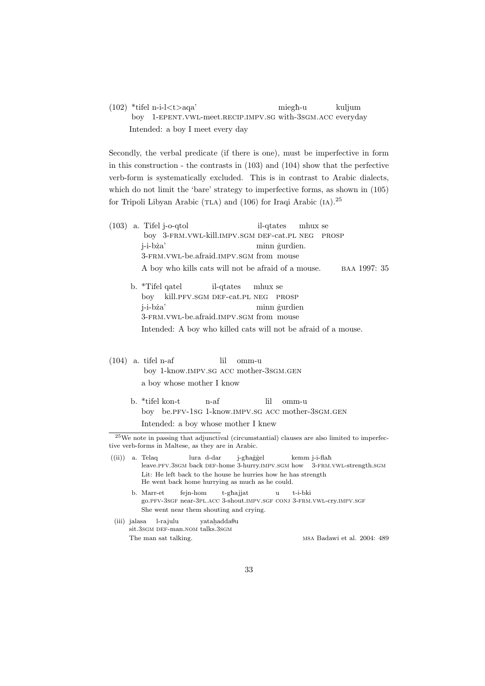(102) \*tifel n-i-l*<*t*>*aqa' boy 1-EPENT. VWL-meet. RECIP. IMPV. SG with-3SGM. ACC everyday miegh-u kuljum Intended: a boy I meet every day

Secondly, the verbal predicate (if there is one), must be imperfective in form in this construction - the contrasts in (103) and (104) show that the perfective verb-form is systematically excluded. This is in contrast to Arabic dialects, which do not limit the 'bare' strategy to imperfective forms, as shown in (105) for Tripoli Libyan Arabic (TLA) and  $(106)$  for Iraqi Arabic  $(IA).^{25}$ 

- (103) a. Tifel j-o-qtol boy 3-frm.vwl-kill.impv.sgm def-cat.pl neg prosp il-qtates mhux se j-i-bża' 3-frm.vwl-be.afraid.impv.sgm from mouse minn gurdien. A boy who kills cats will not be afraid of a mouse. BAA 1997: 35
	- b. \*Tifel qatel boy kill.PFV.SGM DEF-cat.PL NEG PROSP il-qtates mhux se j-i-bża' 3-FRM.VWL-be.afraid.IMPV.SGM from mouse minn *gurdien* Intended: A boy who killed cats will not be afraid of a mouse.
- (104) a. tifel n-af boy 1-know.impv.sg acc mother-3sgm.gen lil omm-u a boy whose mother I know
	- b. \*tifel kon-t boy be.pfv-1sg 1-know.impv.sg acc mother-3sgm.gen n-af lil omm-u Intended: a boy whose mother I knew

 $((ii))$  a. Telaq leave.PFV.3sGM back DEF-home 3-hurry.IMPV.SGM how 3-FRM.VWL-strength.SGM lura d-dar j-ghaggel kemm j-i-flaħ Lit: He left back to the house he hurries how he has strength He went back home hurrying as much as he could.

- b. Marr-et go.PFV-3SGF near-3PL.ACC 3-shout.IMPV.SGF CONJ 3-FRM.VWL-cry.IMPV.SGF fejn-hom t-ghajjat  $\overline{u}$ t-i-bki She went near them shouting and crying.
- (iii) jalasa sit.3sgm DEF-man.nom talks.3sgm l-rajulu yatahadda $\theta$ u The man sat talking. MSA Badawi et al. 2004: 489

<sup>25</sup>We note in passing that adjunctival (circumstantial) clauses are also limited to imperfective verb-forms in Maltese, as they are in Arabic.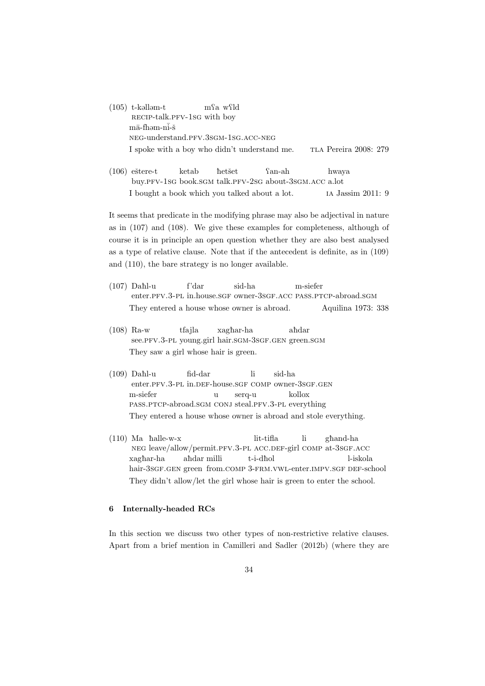- $(105)$  t-kallam-t RECIP-talk.PFV-1SG with boy mfa wfld  $m\bar{a}$ -fhəm-n $\overline{i}$ -š neg-understand.pfv.3sgm-1sg.acc-neg I spoke with a boy who didn't understand me. TLA Pereira 2008: 279
- $(106)$  eštere-t buy.pfv-1sg book.sgm talk.pfv-2sg about-3sgm.acc a.lot ketab *het*šet Qan-ah hwaya I bought a book which you talked about a lot. ia Jassim 2011: 9

It seems that predicate in the modifying phrase may also be adjectival in nature as in (107) and (108). We give these examples for completeness, although of course it is in principle an open question whether they are also best analysed as a type of relative clause. Note that if the antecedent is definite, as in (109) and (110), the bare strategy is no longer available.

- $(107)$  Dahl-u enter.PFV.3-PL in.house.SGF owner-3SGF.ACC PASS.PTCP-abroad.SGM f'dar sid-ha m-siefer They entered a house whose owner is abroad. Aquilina 1973: 338
- (108) Ra-w see.PFV.3-PL young.girl hair.sGM-3sGF.GEN green.sGM tfajla xaghar-ha ahdar They saw a girl whose hair is green.
- $(109)$  Dahl-u enter.PFV.3-PL in.DEF-house.SGF COMP owner-3SGF.GEN fid-dar li sid-ha m-siefer pass.ptcp-abroad.sgm conj steal.pfv.3-pl everything u serq-u kollox They entered a house whose owner is abroad and stole everything.
- $(110)$  Ma halle-w-x neg leave/allow/permit.pfv.3-pl acc.def-girl comp at-3sgf.acc lit-tifla li gèand-ha xaghar-ha hair-3sgF.gen green from.comp 3-FRM.VWL-enter.IMPV.sgF DEF-school ahdar milli t-i-dħol l-iskola They didn't allow/let the girl whose hair is green to enter the school.

# **6 Internally-headed RCs**

In this section we discuss two other types of non-restrictive relative clauses. Apart from a brief mention in Camilleri and Sadler (2012b) (where they are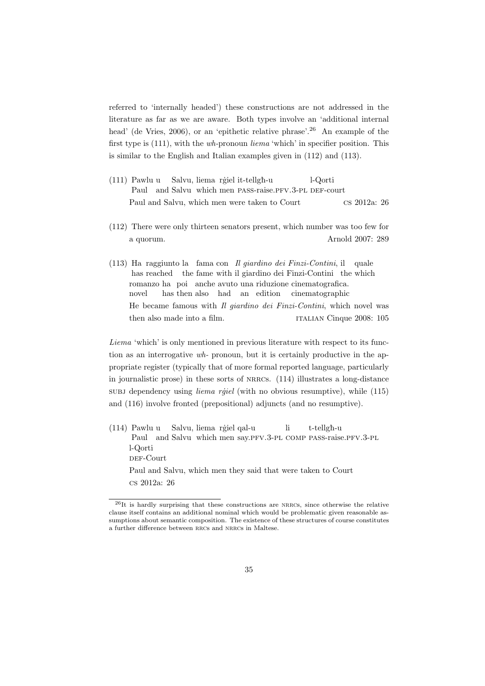referred to 'internally headed') these constructions are not addressed in the literature as far as we are aware. Both types involve an 'additional internal head' (de Vries, 2006), or an 'epithetic relative phrase'.<sup>26</sup> An example of the first type is (111), with the *wh-*pronoun *liema* 'which' in specifier position. This is similar to the English and Italian examples given in (112) and (113).

- (111) Pawlu u Paul and Salvu which men PASS-raise.PFV.3-PL DEF-court Salvu, liema rģiel it-tellgh-u l-Qorti Paul and Salvu, which men were taken to Court cs 2012a: 26
- (112) There were only thirteen senators present, which number was too few for a quorum. Arnold 2007: 289
- (113) Ha raggiunto la fama con *Il giardino dei Finzi-Contini*, il quale has reached the fame with il giardino dei Finzi-Contini the which romanzo ha poi anche avuto una riduzione cinematografica. novel has then also had an edition cinematographic He became famous with *Il giardino dei Finzi-Contini*, which novel was then also made into a film. **italian Cinque 2008:** 105

*Liema* 'which' is only mentioned in previous literature with respect to its function as an interrogative *wh-* pronoun, but it is certainly productive in the appropriate register (typically that of more formal reported language, particularly in journalistic prose) in these sorts of nrrcs. (114) illustrates a long-distance subj dependency using *liema rigel* (with no obvious resumptive), while (115) and (116) involve fronted (prepositional) adjuncts (and no resumptive).

(114) Pawlu u Paul and Salvu which men say.PFV.3-PL COMP PASS-raise.PFV.3-PL Salvu, liema rģiel qal-u li t-tellgh-u l-Qorti DEF-Court Paul and Salvu, which men they said that were taken to Court cs 2012a: 26

<sup>26</sup>It is hardly surprising that these constructions are nrrcs, since otherwise the relative clause itself contains an additional nominal which would be problematic given reasonable assumptions about semantic composition. The existence of these structures of course constitutes a further difference between rrcs and nrrcs in Maltese.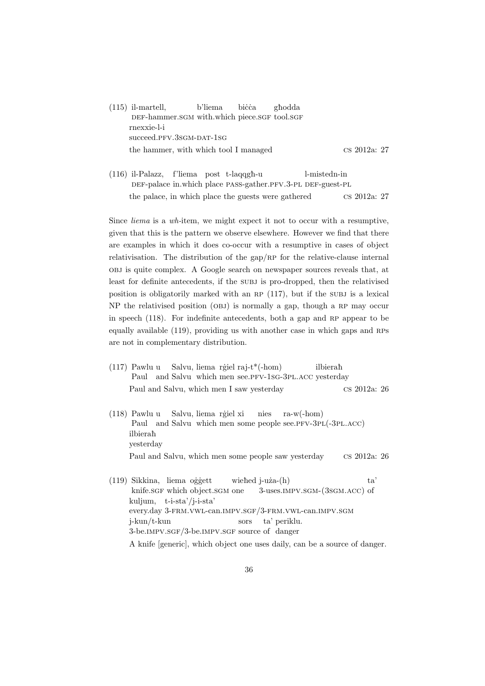| $(115)$ il-martell,                          | b'liema bicca | ghodda |                        |  |
|----------------------------------------------|---------------|--------|------------------------|--|
| DEF-hammer.SGM with.which piece.SGF tool.SGF |               |        |                        |  |
| rnexxie-l-i                                  |               |        |                        |  |
| succeed.PFV.3SGM-DAT-1SG                     |               |        |                        |  |
| the hammer, with which tool I managed        |               |        | $\text{cs } 2012a: 27$ |  |

(116) il-Palazz, f'liema post t-laqqgè-u DEF-palace in which place PASS-gather.PFV.3-PL DEF-guest-PL l-mistedn-in the palace, in which place the guests were gathered  $\cos 2012a: 27$ 

Since *liema* is a *wh-*item, we might expect it not to occur with a resumptive, given that this is the pattern we observe elsewhere. However we find that there are examples in which it does co-occur with a resumptive in cases of object relativisation. The distribution of the gap/ $RP$  for the relative-clause internal obj is quite complex. A Google search on newspaper sources reveals that, at least for definite antecedents, if the subj is pro-dropped, then the relativised position is obligatorily marked with an RP  $(117)$ , but if the SUBJ is a lexical  $NP$  the relativised position (OBJ) is normally a gap, though a RP may occur in speech  $(118)$ . For indefinite antecedents, both a gap and RP appear to be equally available (119), providing us with another case in which gaps and RPs are not in complementary distribution.

- (117) Pawlu u Paul and Salvu which men see.PFV-1sG-3PL.ACC yesterday Salvu, liema rģiel raj-t\*(-hom) ilbierah Paul and Salvu, which men I saw yesterday cs 2012a: 26
- (118) Pawlu u Paul and Salvu which men some people see.PFV-3PL(-3PL.ACC) Salvu, liema rģiel xi nies ra-w(-hom) ilbierah yesterday Paul and Salvu, which men some people saw yesterday cs 2012a: 26
- (119) Sikkina, liema oģģett knife.sGF which object.sGM one wiehed j-uża-(h) 3-uses.impv.sgm-(3sgm.acc) of ta' kuljum, t-i-sta'/j-i-sta' every.day 3-frm.vwl-can.impv.sgf/3-frm.vwl-can.impv.sgm j-kun/t-kun 3-be.IMPV.SGF/3-be.IMPV.SGF source of danger sors ta' periklu.

A knife [generic], which object one uses daily, can be a source of danger.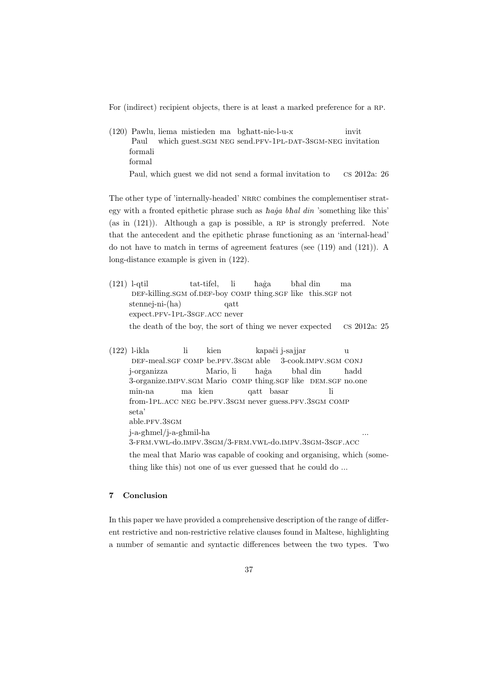For (indirect) recipient objects, there is at least a marked preference for a RP.

(120) Pawlu, liema mistieden ma bgèatt-nie-l-u-x Paul which guest. SGM NEG send. PFV-1PL-DAT-3SGM-NEG invitation invit formali formal

Paul, which guest we did not send a formal invitation to cs 2012a: 26

The other type of 'internally-headed' NRRC combines the complementiser strategy with a fronted epithetic phrase such as *haia bhal din* 'something like this' (as in  $(121)$ ). Although a gap is possible, a RP is strongly preferred. Note that the antecedent and the epithetic phrase functioning as an 'internal-head' do not have to match in terms of agreement features (see (119) and (121)). A long-distance example is given in (122).

- (121) l-qtil DEF-killing.SGM of.DEF-boy COMP thing.SGF like this.SGF not tat-tifel, li èa˙ga bhal din ma stennej-ni-(ha) expect.pfv-1pl-3sgf.acc never qatt the death of the boy, the sort of thing we never expected cs 2012a: 25
- (122) l-ikla DEF-meal.SGF COMP be.PFV.3SGM able li kien kapaċi j-sajjar 3-cook.impv.sgm conj u j-organizza 3-organize. IMPV. SGM Mario COMP thing. SGF like DEM. SGF no.one Mario, li èa˙ga bhal din èadd min-na from-1PL.ACC NEG be.PFV.3SGM never guess.PFV.3SGM COMP ma kien qatt basar li seta' able.pfv.3sgm j-a-gèmel/j-a-gèmil-ha 3-frm.vwl-do.impv.3sgm/3-frm.vwl-do.impv.3sgm-3sgf.acc ... the meal that Mario was capable of cooking and organising, which (some-

thing like this) not one of us ever guessed that he could do ...

# **7 Conclusion**

In this paper we have provided a comprehensive description of the range of different restrictive and non-restrictive relative clauses found in Maltese, highlighting a number of semantic and syntactic differences between the two types. Two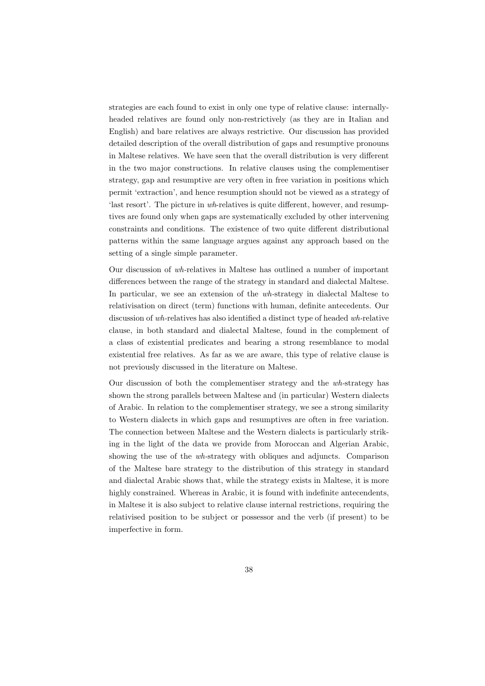strategies are each found to exist in only one type of relative clause: internallyheaded relatives are found only non-restrictively (as they are in Italian and English) and bare relatives are always restrictive. Our discussion has provided detailed description of the overall distribution of gaps and resumptive pronouns in Maltese relatives. We have seen that the overall distribution is very different in the two major constructions. In relative clauses using the complementiser strategy, gap and resumptive are very often in free variation in positions which permit 'extraction', and hence resumption should not be viewed as a strategy of 'last resort'. The picture in *wh*-relatives is quite different, however, and resumptives are found only when gaps are systematically excluded by other intervening constraints and conditions. The existence of two quite different distributional patterns within the same language argues against any approach based on the setting of a single simple parameter.

Our discussion of *wh-*relatives in Maltese has outlined a number of important differences between the range of the strategy in standard and dialectal Maltese. In particular, we see an extension of the *wh-*strategy in dialectal Maltese to relativisation on direct (term) functions with human, definite antecedents. Our discussion of *wh-*relatives has also identified a distinct type of headed *wh-*relative clause, in both standard and dialectal Maltese, found in the complement of a class of existential predicates and bearing a strong resemblance to modal existential free relatives. As far as we are aware, this type of relative clause is not previously discussed in the literature on Maltese.

Our discussion of both the complementiser strategy and the *wh-*strategy has shown the strong parallels between Maltese and (in particular) Western dialects of Arabic. In relation to the complementiser strategy, we see a strong similarity to Western dialects in which gaps and resumptives are often in free variation. The connection between Maltese and the Western dialects is particularly striking in the light of the data we provide from Moroccan and Algerian Arabic, showing the use of the *wh-*strategy with obliques and adjuncts. Comparison of the Maltese bare strategy to the distribution of this strategy in standard and dialectal Arabic shows that, while the strategy exists in Maltese, it is more highly constrained. Whereas in Arabic, it is found with indefinite antecendents, in Maltese it is also subject to relative clause internal restrictions, requiring the relativised position to be subject or possessor and the verb (if present) to be imperfective in form.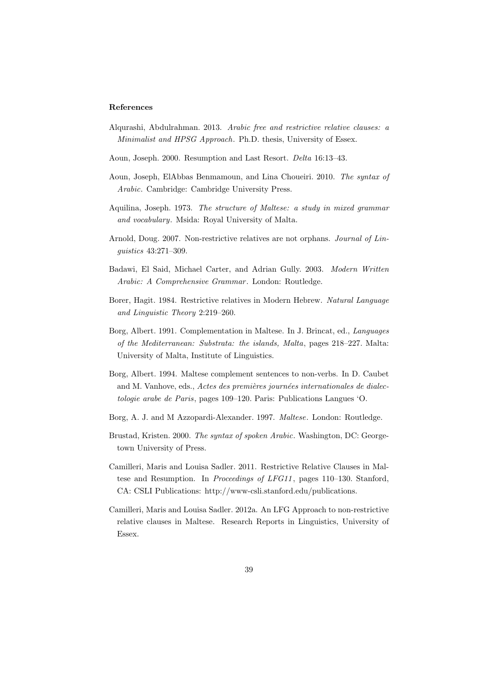#### **References**

- Alqurashi, Abdulrahman. 2013. *Arabic free and restrictive relative clauses: a Minimalist and HPSG Approach*. Ph.D. thesis, University of Essex.
- Aoun, Joseph. 2000. Resumption and Last Resort. *Delta* 16:13–43.
- Aoun, Joseph, ElAbbas Benmamoun, and Lina Choueiri. 2010. *The syntax of Arabic*. Cambridge: Cambridge University Press.
- Aquilina, Joseph. 1973. *The structure of Maltese: a study in mixed grammar and vocabulary*. Msida: Royal University of Malta.
- Arnold, Doug. 2007. Non-restrictive relatives are not orphans. *Journal of Linguistics* 43:271–309.
- Badawi, El Said, Michael Carter, and Adrian Gully. 2003. *Modern Written Arabic: A Comprehensive Grammar* . London: Routledge.
- Borer, Hagit. 1984. Restrictive relatives in Modern Hebrew. *Natural Language and Linguistic Theory* 2:219–260.
- Borg, Albert. 1991. Complementation in Maltese. In J. Brincat, ed., *Languages of the Mediterranean: Substrata: the islands, Malta*, pages 218–227. Malta: University of Malta, Institute of Linguistics.
- Borg, Albert. 1994. Maltese complement sentences to non-verbs. In D. Caubet and M. Vanhove, eds., *Actes des premières journées internationales de dialectologie arabe de Paris*, pages 109–120. Paris: Publications Langues 'O.
- Borg, A. J. and M Azzopardi-Alexander. 1997. *Maltese*. London: Routledge.
- Brustad, Kristen. 2000. *The syntax of spoken Arabic*. Washington, DC: Georgetown University of Press.
- Camilleri, Maris and Louisa Sadler. 2011. Restrictive Relative Clauses in Maltese and Resumption. In *Proceedings of LFG11* , pages 110–130. Stanford, CA: CSLI Publications: http://www-csli.stanford.edu/publications.
- Camilleri, Maris and Louisa Sadler. 2012a. An LFG Approach to non-restrictive relative clauses in Maltese. Research Reports in Linguistics, University of Essex.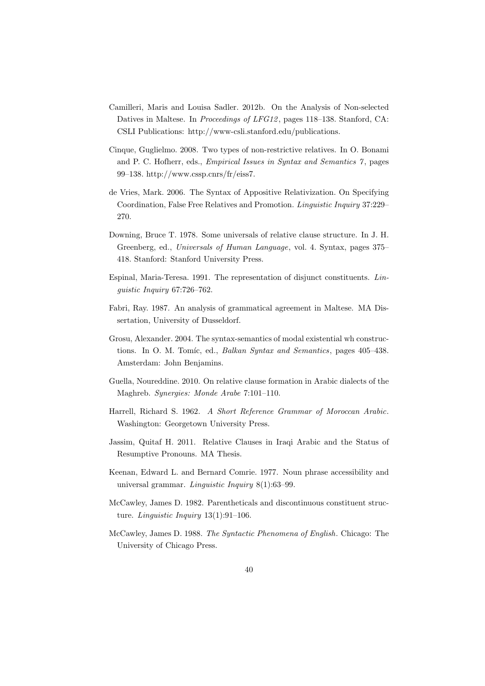- Camilleri, Maris and Louisa Sadler. 2012b. On the Analysis of Non-selected Datives in Maltese. In *Proceedings of LFG12* , pages 118–138. Stanford, CA: CSLI Publications: http://www-csli.stanford.edu/publications.
- Cinque, Guglielmo. 2008. Two types of non-restrictive relatives. In O. Bonami and P. C. Hofherr, eds., *Empirical Issues in Syntax and Semantics 7* , pages 99–138. http://www.cssp.cnrs/fr/eiss7.
- de Vries, Mark. 2006. The Syntax of Appositive Relativization. On Specifying Coordination, False Free Relatives and Promotion. *Linguistic Inquiry* 37:229– 270.
- Downing, Bruce T. 1978. Some universals of relative clause structure. In J. H. Greenberg, ed., *Universals of Human Language*, vol. 4. Syntax, pages 375– 418. Stanford: Stanford University Press.
- Espinal, Maria-Teresa. 1991. The representation of disjunct constituents. *Linguistic Inquiry* 67:726–762.
- Fabri, Ray. 1987. An analysis of grammatical agreement in Maltese. MA Dissertation, University of Dusseldorf.
- Grosu, Alexander. 2004. The syntax-semantics of modal existential wh constructions. In O. M. Tomíc, ed., *Balkan Syntax and Semantics*, pages 405–438. Amsterdam: John Benjamins.
- Guella, Noureddine. 2010. On relative clause formation in Arabic dialects of the Maghreb. *Synergies: Monde Arabe* 7:101–110.
- Harrell, Richard S. 1962. *A Short Reference Grammar of Moroccan Arabic*. Washington: Georgetown University Press.
- Jassim, Quitaf H. 2011. Relative Clauses in Iraqi Arabic and the Status of Resumptive Pronouns. MA Thesis.
- Keenan, Edward L. and Bernard Comrie. 1977. Noun phrase accessibility and universal grammar. *Linguistic Inquiry* 8(1):63–99.
- McCawley, James D. 1982. Parentheticals and discontinuous constituent structure. *Linguistic Inquiry* 13(1):91–106.
- McCawley, James D. 1988. *The Syntactic Phenomena of English*. Chicago: The University of Chicago Press.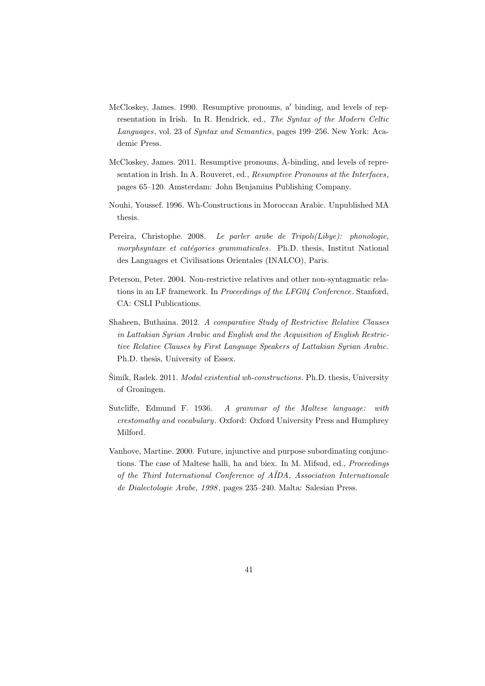- McCloskey, James. 1990. Resumptive pronouns, a*′* binding, and levels of representation in Irish. In R. Hendrick, ed., *The Syntax of the Modern Celtic Languages*, vol. 23 of *Syntax and Semantics*, pages 199–256. New York: Academic Press.
- McCloskey, James. 2011. Resumptive pronouns,  $\bar{A}$ -binding, and levels of representation in Irish. In A. Rouveret, ed., *Resumptive Pronouns at the Interfaces*, pages 65–120. Amsterdam: John Benjamins Publishing Company.
- Nouhi, Youssef. 1996. Wh-Constructions in Moroccan Arabic. Unpublished MA thesis.
- Pereira, Christophe. 2008. *Le parler arabe de Tripoli(Libye): phonologie, morphsyntaxe et catégories grammaticales*. Ph.D. thesis, Institut National des Languages et Civilisations Orientales (INALCO), Paris.
- Peterson, Peter. 2004. Non-restrictive relatives and other non-syntagmatic relations in an LF framework. In *Proceedings of the LFG04 Conference*. Stanford, CA: CSLI Publications.
- Shaheen, Buthaina. 2012. *A comparative Study of Restrictive Relative Clauses in Lattakian Syrian Arabic and English and the Acquisition of English Restrictive Relative Clauses by First Language Speakers of Lattakian Syrian Arabic*. Ph.D. thesis, University of Essex.
- Šimík, Radek. 2011. *Modal existential wh-constructions*. Ph.D. thesis, University of Groningen.
- Sutcliffe, Edmund F. 1936. *A grammar of the Maltese language: with crestomathy and vocabulary*. Oxford: Oxford University Press and Humphrey Milford.
- Vanhove, Martine. 2000. Future, injunctive and purpose subordinating conjunctions. The case of Maltese halli, ha and biex. In M. Mifsud, ed., *Proceedings of the Third International Conference of A¨IDA, Association Internationale de Dialectologie Arabe, 1998* , pages 235–240. Malta: Salesian Press.